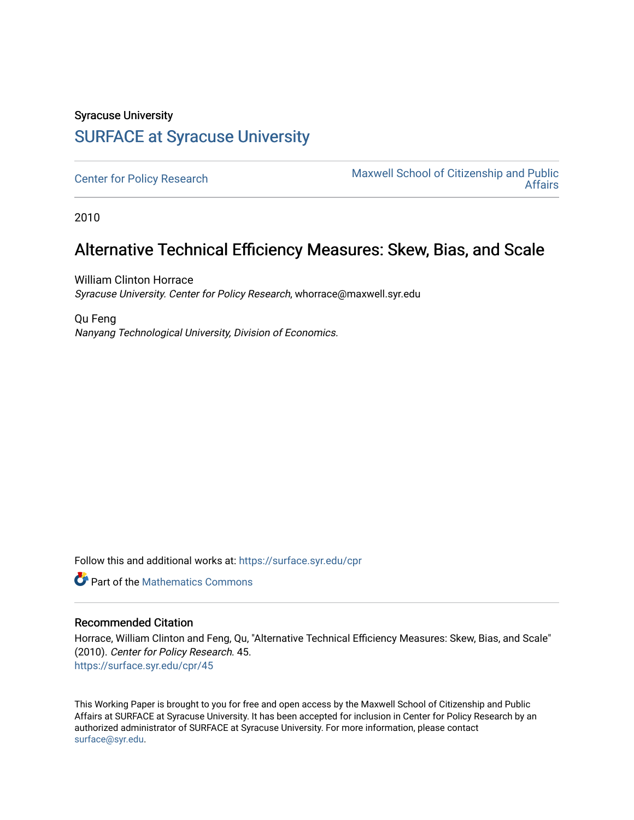# Syracuse University [SURFACE at Syracuse University](https://surface.syr.edu/)

[Center for Policy Research](https://surface.syr.edu/cpr) Maxwell School of Citizenship and Public [Affairs](https://surface.syr.edu/maxwell) 

2010

# Alternative Technical Efficiency Measures: Skew, Bias, and Scale

William Clinton Horrace Syracuse University. Center for Policy Research, whorrace@maxwell.syr.edu

Qu Feng Nanyang Technological University, Division of Economics.

Follow this and additional works at: [https://surface.syr.edu/cpr](https://surface.syr.edu/cpr?utm_source=surface.syr.edu%2Fcpr%2F45&utm_medium=PDF&utm_campaign=PDFCoverPages) 

**C** Part of the [Mathematics Commons](http://network.bepress.com/hgg/discipline/174?utm_source=surface.syr.edu%2Fcpr%2F45&utm_medium=PDF&utm_campaign=PDFCoverPages)

#### Recommended Citation

Horrace, William Clinton and Feng, Qu, "Alternative Technical Efficiency Measures: Skew, Bias, and Scale" (2010). Center for Policy Research. 45. [https://surface.syr.edu/cpr/45](https://surface.syr.edu/cpr/45?utm_source=surface.syr.edu%2Fcpr%2F45&utm_medium=PDF&utm_campaign=PDFCoverPages) 

This Working Paper is brought to you for free and open access by the Maxwell School of Citizenship and Public Affairs at SURFACE at Syracuse University. It has been accepted for inclusion in Center for Policy Research by an authorized administrator of SURFACE at Syracuse University. For more information, please contact [surface@syr.edu.](mailto:surface@syr.edu)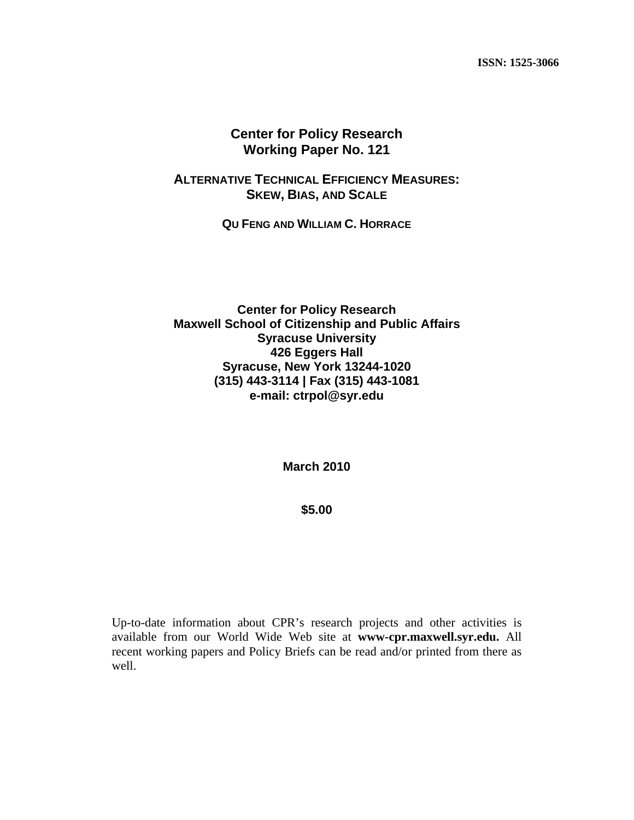**ISSN: 1525-3066** 

## **Center for Policy Research Working Paper No. 121**

**ALTERNATIVE TECHNICAL EFFICIENCY MEASURES: SKEW, BIAS, AND SCALE** 

**QU FENG AND WILLIAM C. HORRACE**

### **Center for Policy Research Maxwell School of Citizenship and Public Affairs Syracuse University 426 Eggers Hall Syracuse, New York 13244-1020 (315) 443-3114 | Fax (315) 443-1081 e-mail: ctrpol@syr.edu**

**March 2010** 

**\$5.00** 

Up-to-date information about CPR's research projects and other activities is available from our World Wide Web site at **www-cpr.maxwell.syr.edu.** All recent working papers and Policy Briefs can be read and/or printed from there as well.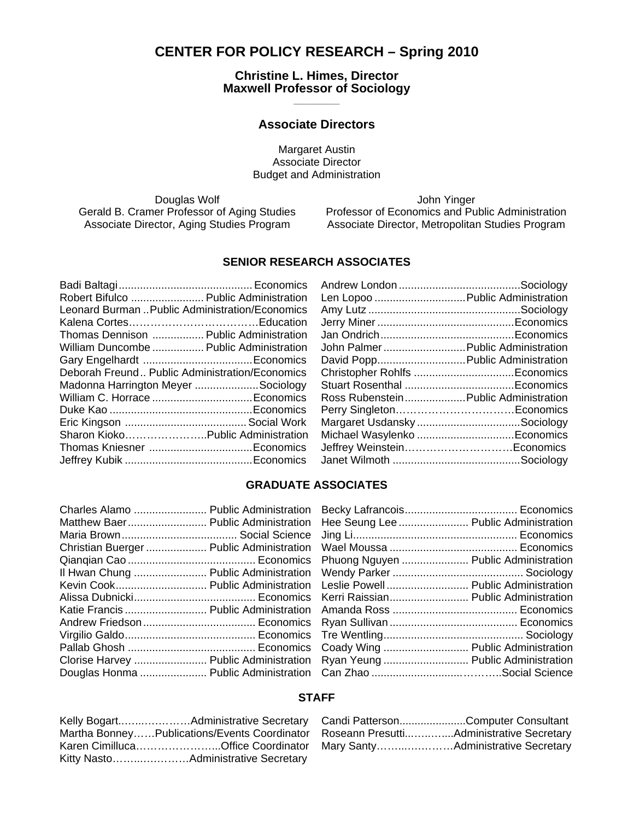**CENTER FOR POLICY RESEARCH – Spring 2010** 

**Christine L. Himes, Director Maxwell Professor of Sociology** 

### **Associate Directors**

Margaret Austin Associate Director Budget and Administration

Douglas Wolf **Contract Contract Contract Contract Contract Contract Contract Contract Contract Contract Contract Contract Contract Contract Contract Contract Contract Contract Contract Contract Contract Contract Contract C** 

Gerald B. Cramer Professor of Aging Studies Professor of Economics and Public Administration Associate Director, Aging Studies Program Associate Director, Metropolitan Studies Program

### **SENIOR RESEARCH ASSOCIATES**

| Robert Bifulco  Public Administration           |
|-------------------------------------------------|
| Leonard Burman  Public Administration/Economics |
|                                                 |
| Thomas Dennison  Public Administration          |
| William Duncombe  Public Administration         |
|                                                 |
| Deborah Freund Public Administration/Economics  |
| Madonna Harrington Meyer Sociology              |
|                                                 |
|                                                 |
|                                                 |
| Sharon KiokoPublic Administration               |
|                                                 |
|                                                 |
|                                                 |

| Len Lopoo  Public Administration      |  |
|---------------------------------------|--|
|                                       |  |
|                                       |  |
|                                       |  |
| John Palmer Public Administration     |  |
| David Popp Public Administration      |  |
|                                       |  |
|                                       |  |
| Ross Rubenstein Public Administration |  |
|                                       |  |
| Margaret Usdansky Sociology           |  |
| Michael Wasylenko Economics           |  |
| Jeffrey WeinsteinEconomics            |  |
|                                       |  |
|                                       |  |

#### **GRADUATE ASSOCIATES**

| Charles Alamo  Public Administration     |  |
|------------------------------------------|--|
| Matthew Baer Public Administration       |  |
|                                          |  |
| Christian Buerger  Public Administration |  |
|                                          |  |
| Il Hwan Chung  Public Administration     |  |
|                                          |  |
|                                          |  |
| Katie Francis  Public Administration     |  |
|                                          |  |
|                                          |  |
|                                          |  |
| Clorise Harvey  Public Administration    |  |
| Douglas Honma  Public Administration     |  |

| Hee Seung Lee  Public Administration |
|--------------------------------------|
|                                      |
|                                      |
| Phuong Nguyen  Public Administration |
|                                      |
| Leslie Powell Public Administration  |
| Kerri Raissian Public Administration |
|                                      |
|                                      |
|                                      |
| Coady Wing  Public Administration    |
| Ryan Yeung  Public Administration    |
|                                      |
|                                      |

### **STAFF**

| Martha BonneyPublications/Events Coordinator |
|----------------------------------------------|
| Karen CimillucaOffice Coordinator            |
|                                              |

| Candi PattersonComputer Consultant |  |
|------------------------------------|--|
|                                    |  |
|                                    |  |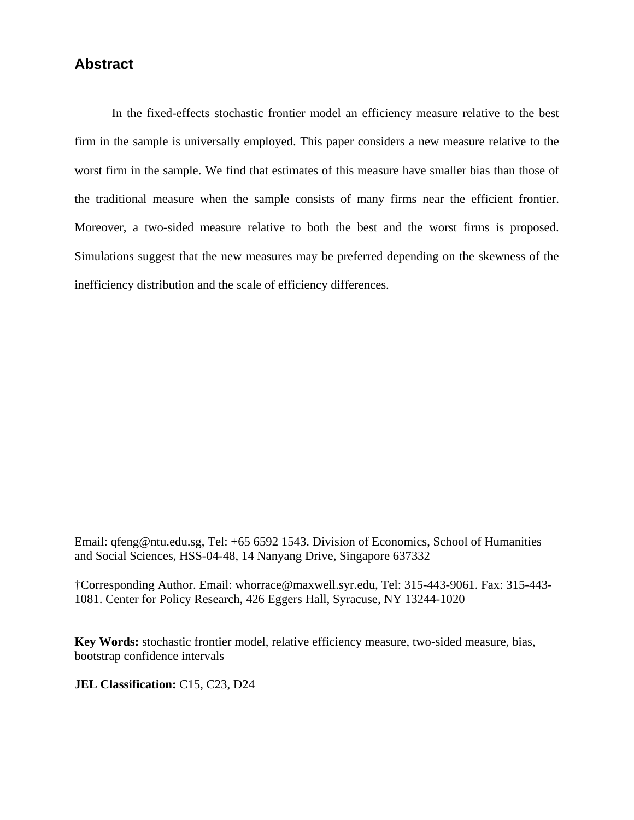# **Abstract**

 In the fixed-effects stochastic frontier model an efficiency measure relative to the best firm in the sample is universally employed. This paper considers a new measure relative to the worst firm in the sample. We find that estimates of this measure have smaller bias than those of the traditional measure when the sample consists of many firms near the efficient frontier. Moreover, a two-sided measure relative to both the best and the worst firms is proposed. Simulations suggest that the new measures may be preferred depending on the skewness of the inefficiency distribution and the scale of efficiency differences.

Email: qfeng@ntu.edu.sg, Tel: +65 6592 1543. Division of Economics, School of Humanities and Social Sciences, HSS-04-48, 14 Nanyang Drive, Singapore 637332

†Corresponding Author. Email: whorrace@maxwell.syr.edu, Tel: 315-443-9061. Fax: 315-443- 1081. Center for Policy Research, 426 Eggers Hall, Syracuse, NY 13244-1020

**Key Words:** stochastic frontier model, relative efficiency measure, two-sided measure, bias, bootstrap confidence intervals

**JEL Classification:** C15, C23, D24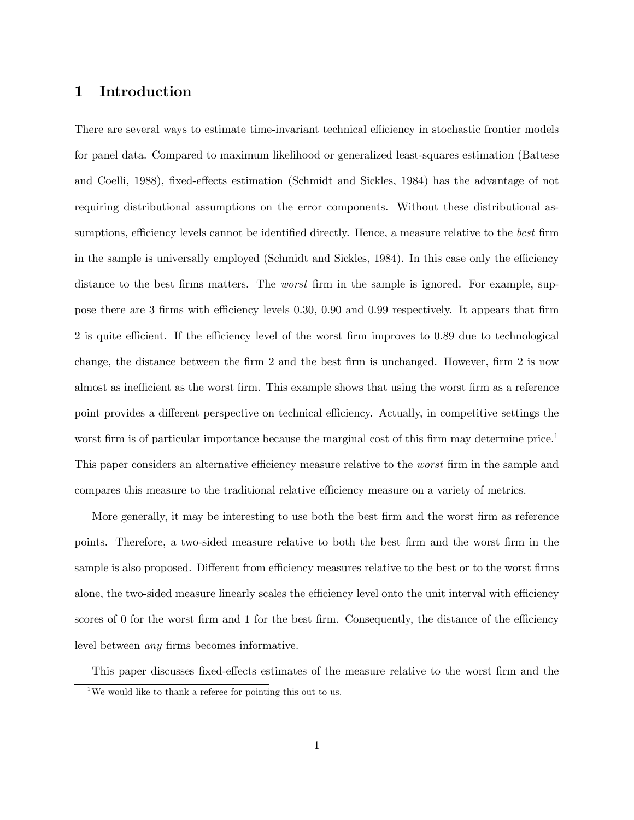## 1 Introduction

There are several ways to estimate time-invariant technical efficiency in stochastic frontier models for panel data. Compared to maximum likelihood or generalized least-squares estimation (Battese and Coelli, 1988), fixed-effects estimation (Schmidt and Sickles, 1984) has the advantage of not requiring distributional assumptions on the error components. Without these distributional assumptions, efficiency levels cannot be identified directly. Hence, a measure relative to the best firm in the sample is universally employed (Schmidt and Sickles, 1984). In this case only the efficiency distance to the best firms matters. The *worst* firm in the sample is ignored. For example, suppose there are 3 firms with efficiency levels 0.30, 0.90 and 0.99 respectively. It appears that firm 2 is quite efficient. If the efficiency level of the worst firm improves to 0.89 due to technological change, the distance between the firm 2 and the best firm is unchanged. However, firm 2 is now almost as inefficient as the worst firm. This example shows that using the worst firm as a reference point provides a different perspective on technical efficiency. Actually, in competitive settings the worst firm is of particular importance because the marginal cost of this firm may determine price.<sup>1</sup> This paper considers an alternative efficiency measure relative to the worst firm in the sample and compares this measure to the traditional relative efficiency measure on a variety of metrics.

More generally, it may be interesting to use both the best firm and the worst firm as reference points. Therefore, a two-sided measure relative to both the best firm and the worst firm in the sample is also proposed. Different from efficiency measures relative to the best or to the worst firms alone, the two-sided measure linearly scales the efficiency level onto the unit interval with efficiency scores of 0 for the worst firm and 1 for the best firm. Consequently, the distance of the efficiency level between any firms becomes informative.

This paper discusses fixed-effects estimates of the measure relative to the worst firm and the

<sup>&</sup>lt;sup>1</sup>We would like to thank a referee for pointing this out to us.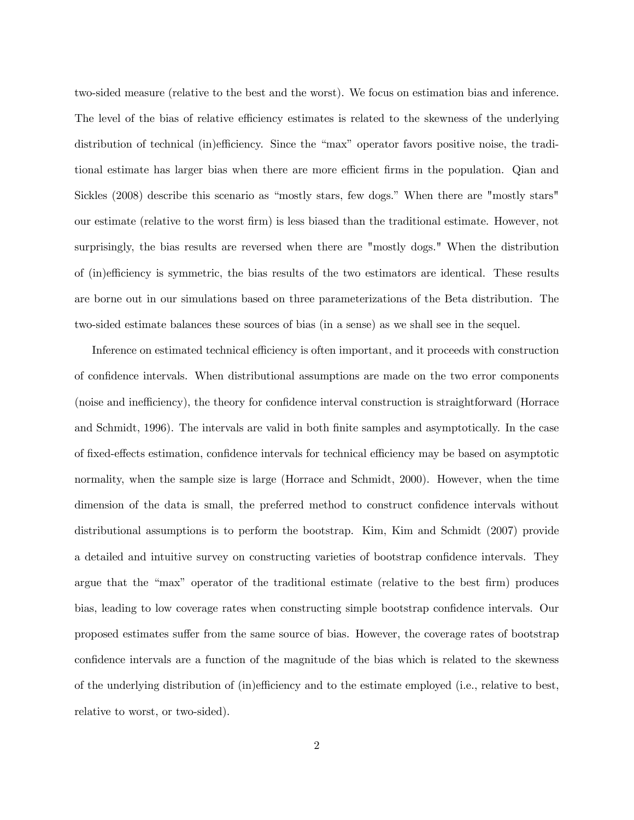two-sided measure (relative to the best and the worst). We focus on estimation bias and inference. The level of the bias of relative efficiency estimates is related to the skewness of the underlying distribution of technical (in)efficiency. Since the "max" operator favors positive noise, the traditional estimate has larger bias when there are more efficient firms in the population. Qian and Sickles (2008) describe this scenario as "mostly stars, few dogs." When there are "mostly stars" our estimate (relative to the worst firm) is less biased than the traditional estimate. However, not surprisingly, the bias results are reversed when there are "mostly dogs." When the distribution of (in)efficiency is symmetric, the bias results of the two estimators are identical. These results are borne out in our simulations based on three parameterizations of the Beta distribution. The two-sided estimate balances these sources of bias (in a sense) as we shall see in the sequel.

Inference on estimated technical efficiency is often important, and it proceeds with construction of confidence intervals. When distributional assumptions are made on the two error components (noise and inefficiency), the theory for confidence interval construction is straightforward (Horrace and Schmidt, 1996). The intervals are valid in both finite samples and asymptotically. In the case of fixed-effects estimation, confidence intervals for technical efficiency may be based on asymptotic normality, when the sample size is large (Horrace and Schmidt, 2000). However, when the time dimension of the data is small, the preferred method to construct confidence intervals without distributional assumptions is to perform the bootstrap. Kim, Kim and Schmidt (2007) provide a detailed and intuitive survey on constructing varieties of bootstrap confidence intervals. They argue that the "max" operator of the traditional estimate (relative to the best firm) produces bias, leading to low coverage rates when constructing simple bootstrap confidence intervals. Our proposed estimates suffer from the same source of bias. However, the coverage rates of bootstrap confidence intervals are a function of the magnitude of the bias which is related to the skewness of the underlying distribution of (in)efficiency and to the estimate employed (i.e., relative to best, relative to worst, or two-sided).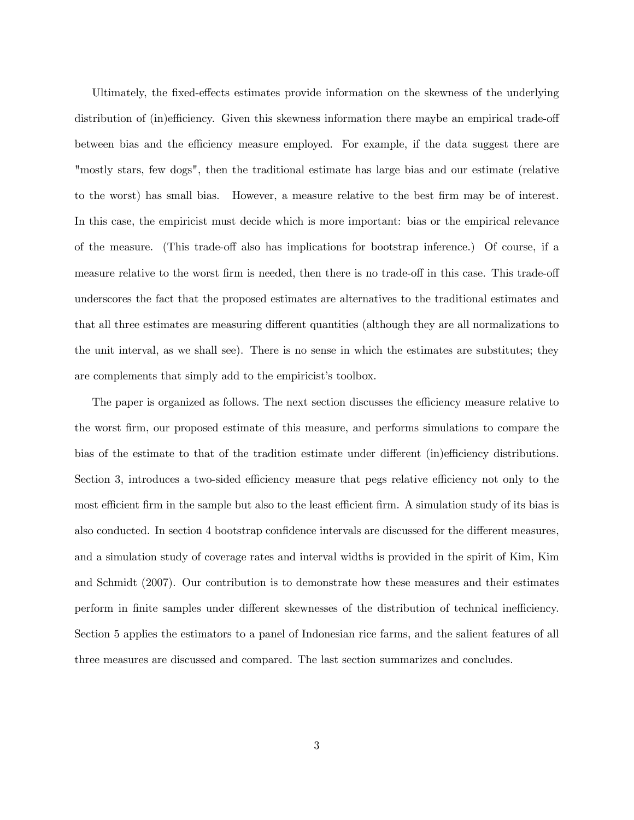Ultimately, the fixed-effects estimates provide information on the skewness of the underlying distribution of (in)efficiency. Given this skewness information there maybe an empirical trade-off between bias and the efficiency measure employed. For example, if the data suggest there are "mostly stars, few dogs", then the traditional estimate has large bias and our estimate (relative to the worst) has small bias. However, a measure relative to the best firm may be of interest. In this case, the empiricist must decide which is more important: bias or the empirical relevance of the measure. (This trade-off also has implications for bootstrap inference.) Of course, if a measure relative to the worst firm is needed, then there is no trade-off in this case. This trade-off underscores the fact that the proposed estimates are alternatives to the traditional estimates and that all three estimates are measuring different quantities (although they are all normalizations to the unit interval, as we shall see). There is no sense in which the estimates are substitutes; they are complements that simply add to the empiricist's toolbox.

The paper is organized as follows. The next section discusses the efficiency measure relative to the worst firm, our proposed estimate of this measure, and performs simulations to compare the bias of the estimate to that of the tradition estimate under different (in)efficiency distributions. Section 3, introduces a two-sided efficiency measure that pegs relative efficiency not only to the most efficient firm in the sample but also to the least efficient firm. A simulation study of its bias is also conducted. In section 4 bootstrap confidence intervals are discussed for the different measures, and a simulation study of coverage rates and interval widths is provided in the spirit of Kim, Kim and Schmidt (2007). Our contribution is to demonstrate how these measures and their estimates perform in finite samples under different skewnesses of the distribution of technical inefficiency. Section 5 applies the estimators to a panel of Indonesian rice farms, and the salient features of all three measures are discussed and compared. The last section summarizes and concludes.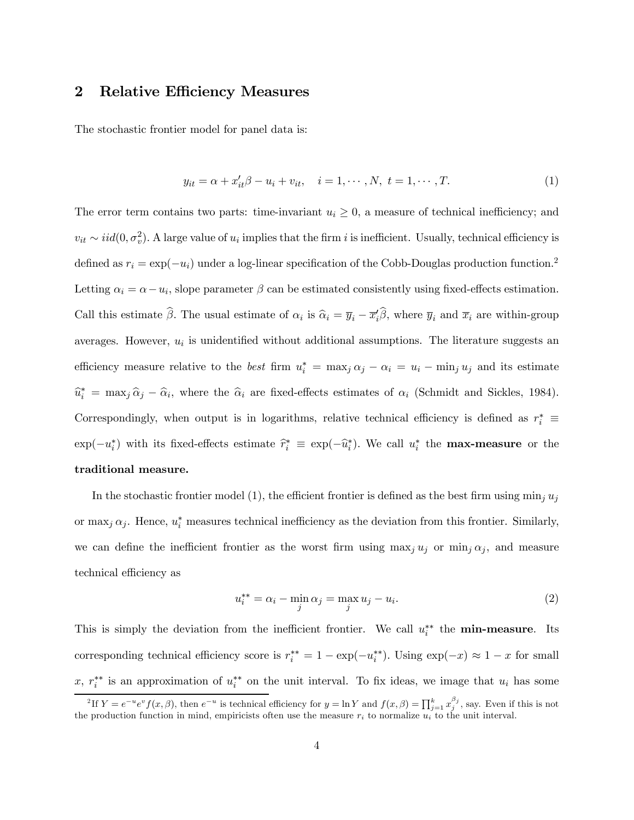### 2 Relative Efficiency Measures

The stochastic frontier model for panel data is:

$$
y_{it} = \alpha + x'_{it}\beta - u_i + v_{it}, \quad i = 1, \cdots, N, \ t = 1, \cdots, T.
$$
 (1)

The error term contains two parts: time-invariant  $u_i \geq 0$ , a measure of technical inefficiency; and  $v_{it} \sim iid(0, \sigma_v^2)$ . A large value of  $u_i$  implies that the firm i is inefficient. Usually, technical efficiency is defined as  $r_i = \exp(-u_i)$  under a log-linear specification of the Cobb-Douglas production function.<sup>2</sup> Letting  $\alpha_i = \alpha - u_i$ , slope parameter  $\beta$  can be estimated consistently using fixed-effects estimation. Call this estimate  $\beta$ . The usual estimate of  $\alpha_i$  is  $\hat{\alpha}_i = \overline{y}_i - \overline{x}'_i\beta$ , where  $\overline{y}_i$  and  $\overline{x}_i$  are within-group averages. However,  $u_i$  is unidentified without additional assumptions. The literature suggests an efficiency measure relative to the *best* firm  $u_i^* = \max_j \alpha_j - \alpha_i = u_i - \min_j u_j$  and its estimate  $\hat{u}_i^* = \max_j \hat{\alpha}_j - \hat{\alpha}_i$ , where the  $\hat{\alpha}_i$  are fixed-effects estimates of  $\alpha_i$  (Schmidt and Sickles, 1984). Correspondingly, when output is in logarithms, relative technical efficiency is defined as  $r_i^* \equiv$  $\exp(-u_i^*)$  with its fixed-effects estimate  $\hat{r}_i^* \equiv \exp(-\hat{u}_i^*)$ . We call  $u_i^*$  the **max-measure** or the traditional measure.

In the stochastic frontier model (1), the efficient frontier is defined as the best firm using  $\min_i u_i$ or max<sub>j</sub>  $\alpha_j$ . Hence,  $u_i^*$  measures technical inefficiency as the deviation from this frontier. Similarly, we can define the inefficient frontier as the worst firm using  $\max_j u_j$  or  $\min_j \alpha_j$ , and measure technical efficiency as

$$
u_i^{**} = \alpha_i - \min_j \alpha_j = \max_j u_j - u_i.
$$
 (2)

This is simply the deviation from the inefficient frontier. We call  $u_i^{**}$  the **min-measure**. Its corresponding technical efficiency score is  $r_i^{**} = 1 - \exp(-u_i^{**})$ . Using  $\exp(-x) \approx 1 - x$  for small x,  $r_i^{**}$  is an approximation of  $u_i^{**}$  on the unit interval. To fix ideas, we image that  $u_i$  has some

<sup>&</sup>lt;sup>2</sup>If  $Y = e^{-u}e^{v} f(x, \beta)$ , then  $e^{-u}$  is technical efficiency for  $y = \ln Y$  and  $f(x, \beta) = \prod_{j=1}^{k} x_j^{\beta_j}$ , say. Even if this is not the production function in mind, empiricists often use the measure  $r_i$  to normalize  $u_i$  to the unit interval.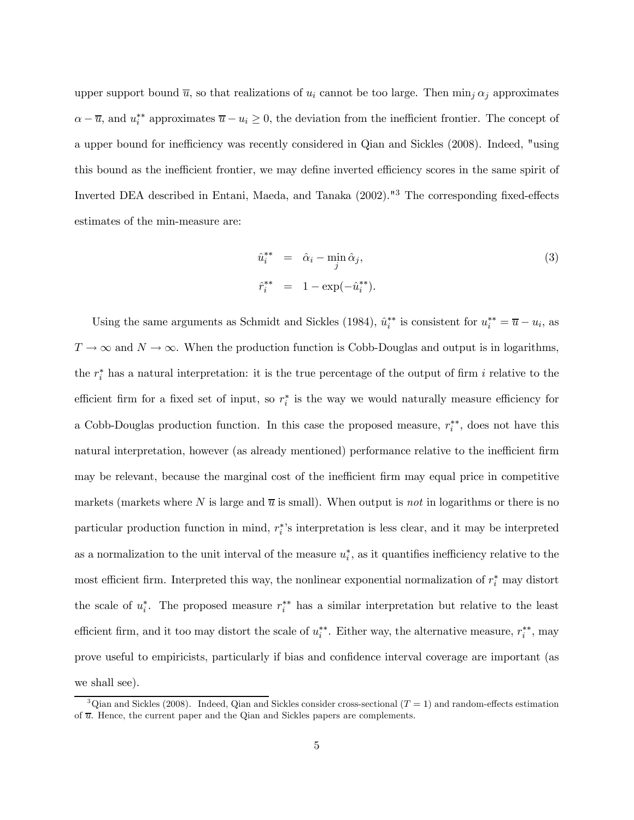upper support bound  $\overline{u}$ , so that realizations of  $u_i$  cannot be too large. Then min<sub>j</sub>  $\alpha_j$  approximates  $\alpha - \overline{u}$ , and  $u_i^{**}$  approximates  $\overline{u} - u_i \ge 0$ , the deviation from the inefficient frontier. The concept of a upper bound for inefficiency was recently considered in Qian and Sickles (2008). Indeed, "using this bound as the inefficient frontier, we may define inverted efficiency scores in the same spirit of Inverted DEA described in Entani, Maeda, and Tanaka (2002)."3 The corresponding fixed-effects estimates of the min-measure are:

$$
\begin{aligned}\n\hat{u}_i^{**} &= \hat{\alpha}_i - \min_j \hat{\alpha}_j, \\
\hat{r}_i^{**} &= 1 - \exp(-\hat{u}_i^{**}).\n\end{aligned} \tag{3}
$$

Using the same arguments as Schmidt and Sickles (1984),  $\hat{u}_i^{**}$  is consistent for  $u_i^{**} = \overline{u} - u_i$ , as  $T \to \infty$  and  $N \to \infty$ . When the production function is Cobb-Douglas and output is in logarithms, the  $r_i^*$  has a natural interpretation: it is the true percentage of the output of firm i relative to the efficient firm for a fixed set of input, so  $r_i^*$  is the way we would naturally measure efficiency for a Cobb-Douglas production function. In this case the proposed measure,  $r_i^{**}$ , does not have this natural interpretation, however (as already mentioned) performance relative to the inefficient firm may be relevant, because the marginal cost of the inefficient firm may equal price in competitive markets (markets where N is large and  $\overline{u}$  is small). When output is not in logarithms or there is no particular production function in mind,  $r_i^*$ 's interpretation is less clear, and it may be interpreted as a normalization to the unit interval of the measure  $u_i^*$ , as it quantifies inefficiency relative to the most efficient firm. Interpreted this way, the nonlinear exponential normalization of  $r_i^*$  may distort the scale of  $u_i^*$ . The proposed measure  $r_i^{**}$  has a similar interpretation but relative to the least efficient firm, and it too may distort the scale of  $u_i^{**}$ . Either way, the alternative measure,  $r_i^{**}$ , may prove useful to empiricists, particularly if bias and confidence interval coverage are important (as we shall see).

 $3$ Qian and Sickles (2008). Indeed, Qian and Sickles consider cross-sectional  $(T = 1)$  and random-effects estimation of  $\overline{u}$ . Hence, the current paper and the Qian and Sickles papers are complements.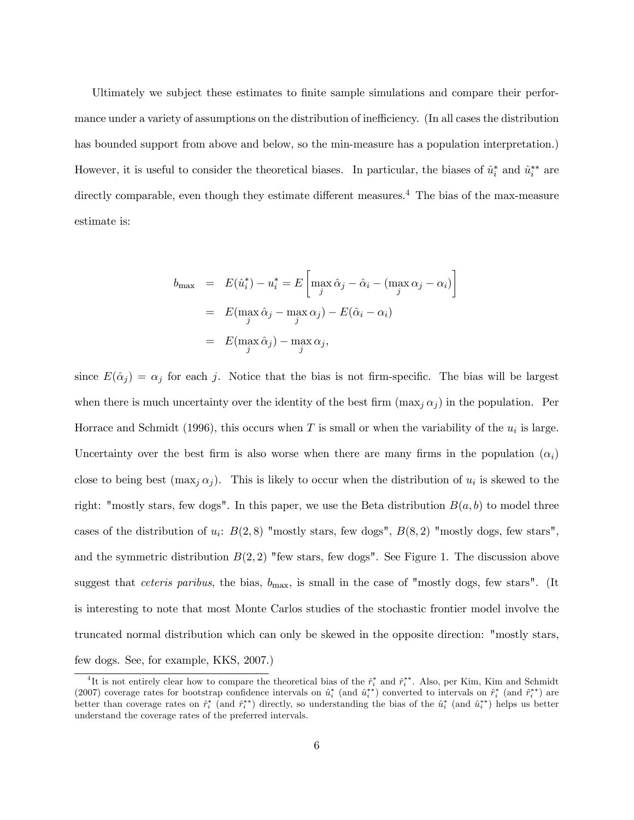Ultimately we subject these estimates to finite sample simulations and compare their performance under a variety of assumptions on the distribution of inefficiency. (In all cases the distribution has bounded support from above and below, so the min-measure has a population interpretation.) However, it is useful to consider the theoretical biases. In particular, the biases of  $\hat{u}_i^*$  and  $\hat{u}_i^{**}$  are directly comparable, even though they estimate different measures.<sup>4</sup> The bias of the max-measure estimate is:

$$
b_{\max} = E(\hat{u}_i^*) - u_i^* = E\left[\max_j \hat{\alpha}_j - \hat{\alpha}_i - (\max_j \alpha_j - \alpha_i)\right]
$$
  
=  $E(\max_j \hat{\alpha}_j - \max_j \alpha_j) - E(\hat{\alpha}_i - \alpha_i)$   
=  $E(\max_j \hat{\alpha}_j) - \max_j \alpha_j$ ,

since  $E(\hat{\alpha}_j) = \alpha_j$  for each j. Notice that the bias is not firm-specific. The bias will be largest when there is much uncertainty over the identity of the best firm  $(\max_i \alpha_i)$  in the population. Per Horrace and Schmidt (1996), this occurs when T is small or when the variability of the  $u_i$  is large. Uncertainty over the best firm is also worse when there are many firms in the population  $(\alpha_i)$ close to being best  $(\max_i \alpha_i)$ . This is likely to occur when the distribution of  $u_i$  is skewed to the right: "mostly stars, few dogs". In this paper, we use the Beta distribution  $B(a, b)$  to model three cases of the distribution of  $u_i: B(2,8)$  "mostly stars, few dogs",  $B(8,2)$  "mostly dogs, few stars", and the symmetric distribution  $B(2, 2)$  "few stars, few dogs". See Figure 1. The discussion above suggest that *ceteris paribus*, the bias,  $b_{\text{max}}$ , is small in the case of "mostly dogs, few stars". (It is interesting to note that most Monte Carlos studies of the stochastic frontier model involve the truncated normal distribution which can only be skewed in the opposite direction: "mostly stars, few dogs. See, for example, KKS, 2007.)

<sup>&</sup>lt;sup>4</sup>It is not entirely clear how to compare the theoretical bias of the  $\hat{r}_i^*$  and  $\hat{r}_i^{**}$ . Also, per Kim, Kim and Schmidt (2007) coverage rates for bootstrap confidence intervals on  $\hat{u}_i^*$  (and  $\hat{u}_i^{**}$ ) converted to intervals on  $\hat{r}_i^*$  (and  $\hat{r}_i^{**}$ ) are better than coverage rates on  $\hat{r}^*_i$  (and  $\hat{r}^{**}_i$ ) directly, so understanding the bias of the  $\hat{u}^*_i$  (and  $\hat{u}^{**}_i$ ) helps us better understand the coverage rates of the preferred intervals.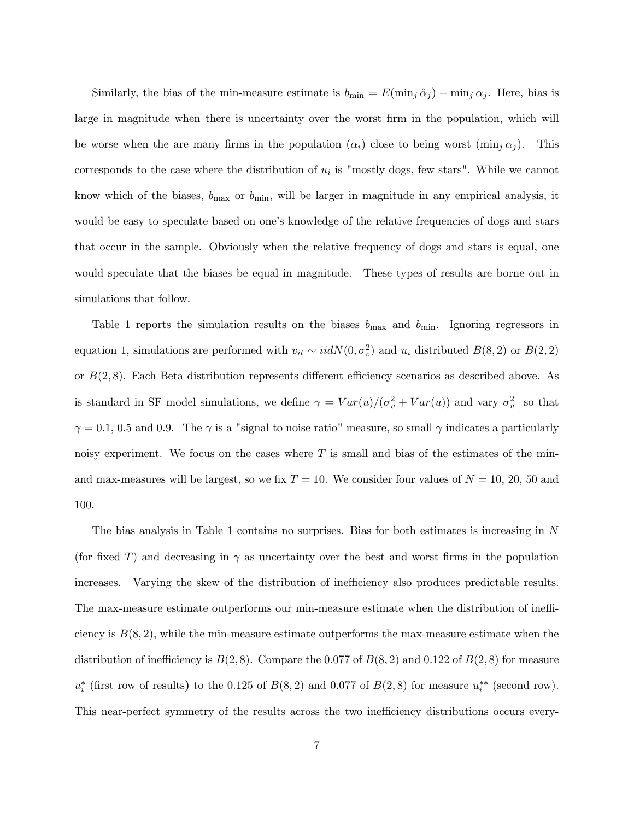Similarly, the bias of the min-measure estimate is  $b_{\min} = E(\min_j \hat{\alpha}_j) - \min_j \alpha_j$ . Here, bias is large in magnitude when there is uncertainty over the worst firm in the population, which will be worse when the are many firms in the population  $(\alpha_i)$  close to being worst  $(\min_i \alpha_i)$ . This corresponds to the case where the distribution of  $u_i$  is "mostly dogs, few stars". While we cannot know which of the biases,  $b_{\text{max}}$  or  $b_{\text{min}}$ , will be larger in magnitude in any empirical analysis, it would be easy to speculate based on one's knowledge of the relative frequencies of dogs and stars that occur in the sample. Obviously when the relative frequency of dogs and stars is equal, one would speculate that the biases be equal in magnitude. These types of results are borne out in simulations that follow.

Table 1 reports the simulation results on the biases  $b_{\text{max}}$  and  $b_{\text{min}}$ . Ignoring regressors in equation 1, simulations are performed with  $v_{it} \sim i i dN(0, \sigma_v^2)$  and  $u_i$  distributed  $B(8, 2)$  or  $B(2, 2)$ or  $B(2, 8)$ . Each Beta distribution represents different efficiency scenarios as described above. As is standard in SF model simulations, we define  $\gamma = Var(u)/(\sigma_v^2 + Var(u))$  and vary  $\sigma_v^2$  so that  $\gamma = 0.1, 0.5$  and 0.9. The  $\gamma$  is a "signal to noise ratio" measure, so small  $\gamma$  indicates a particularly noisy experiment. We focus on the cases where  $T$  is small and bias of the estimates of the minand max-measures will be largest, so we fix  $T = 10$ . We consider four values of  $N = 10, 20, 50$  and 100.

The bias analysis in Table 1 contains no surprises. Bias for both estimates is increasing in  $N$ (for fixed T) and decreasing in  $\gamma$  as uncertainty over the best and worst firms in the population increases. Varying the skew of the distribution of inefficiency also produces predictable results. The max-measure estimate outperforms our min-measure estimate when the distribution of inefficiency is  $B(8, 2)$ , while the min-measure estimate outperforms the max-measure estimate when the distribution of inefficiency is  $B(2, 8)$ . Compare the 0.077 of  $B(8, 2)$  and 0.122 of  $B(2, 8)$  for measure  $u_i^*$  (first row of results) to the 0.125 of  $B(8, 2)$  and 0.077 of  $B(2, 8)$  for measure  $u_i^{**}$  (second row). This near-perfect symmetry of the results across the two inefficiency distributions occurs every-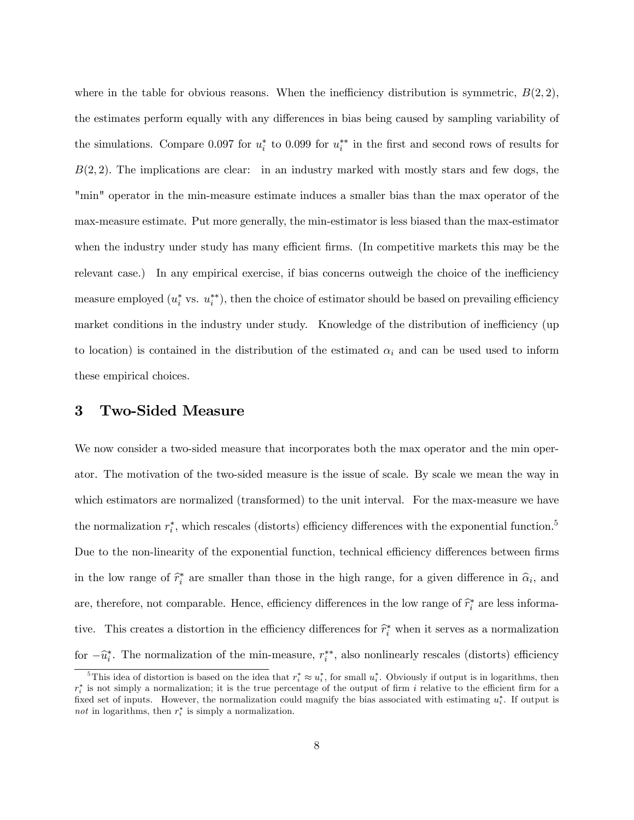where in the table for obvious reasons. When the inefficiency distribution is symmetric,  $B(2, 2)$ , the estimates perform equally with any differences in bias being caused by sampling variability of the simulations. Compare 0.097 for  $u_i^*$  to 0.099 for  $u_i^{**}$  in the first and second rows of results for  $B(2, 2)$ . The implications are clear: in an industry marked with mostly stars and few dogs, the "min" operator in the min-measure estimate induces a smaller bias than the max operator of the max-measure estimate. Put more generally, the min-estimator is less biased than the max-estimator when the industry under study has many efficient firms. (In competitive markets this may be the relevant case.) In any empirical exercise, if bias concerns outweigh the choice of the inefficiency measure employed  $(u_i^*$  vs.  $u_i^{**}$ ), then the choice of estimator should be based on prevailing efficiency market conditions in the industry under study. Knowledge of the distribution of inefficiency (up to location) is contained in the distribution of the estimated  $\alpha_i$  and can be used used to inform these empirical choices.

#### 3 Two-Sided Measure

We now consider a two-sided measure that incorporates both the max operator and the min operator. The motivation of the two-sided measure is the issue of scale. By scale we mean the way in which estimators are normalized (transformed) to the unit interval. For the max-measure we have the normalization  $r_i^*$ , which rescales (distorts) efficiency differences with the exponential function.<sup>5</sup> Due to the non-linearity of the exponential function, technical efficiency differences between firms in the low range of  $\hat{r}_i^*$  are smaller than those in the high range, for a given difference in  $\hat{\alpha}_i$ , and are, therefore, not comparable. Hence, efficiency differences in the low range of  $\hat{\tau}_i^*$  are less informative. This creates a distortion in the efficiency differences for  $\hat{r}_i^*$  when it serves as a normalization for  $-\hat{u}_i^*$ . The normalization of the min-measure,  $r_i^{**}$ , also nonlinearly rescales (distorts) efficiency

<sup>&</sup>lt;sup>5</sup>This idea of distortion is based on the idea that  $r_i^* \approx u_i^*$ , for small  $u_i^*$ . Obviously if output is in logarithms, then  $r_i^*$  is not simply a normalization; it is the true percentage of the output of firm i relative to the efficient firm for a fixed set of inputs. However, the normalization could magnify the bias associated with estimating  $u_i^*$ . If output is not in logarithms, then  $r_i^*$  is simply a normalization.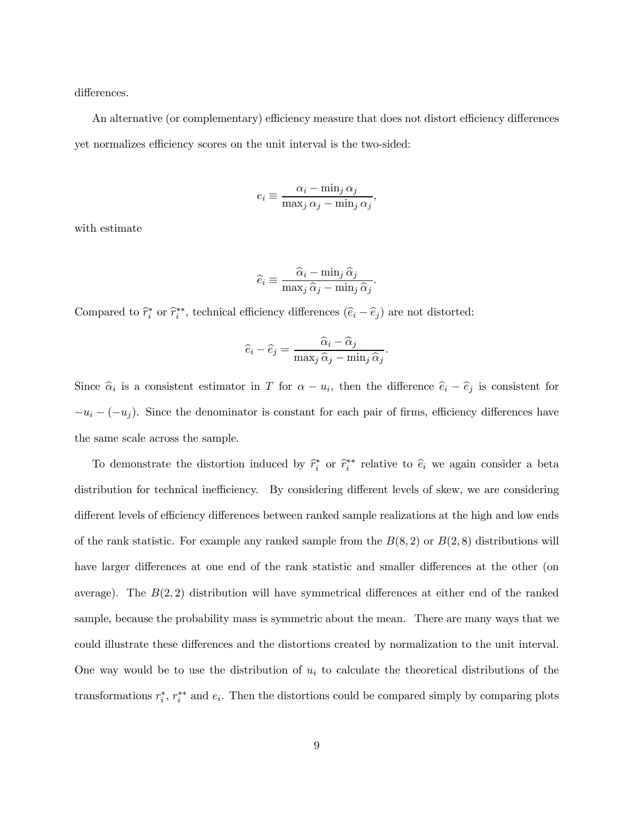differences.

An alternative (or complementary) efficiency measure that does not distort efficiency differences yet normalizes efficiency scores on the unit interval is the two-sided:

$$
e_i \equiv \frac{\alpha_i - \min_j \alpha_j}{\max_j \alpha_j - \min_j \alpha_j},
$$

with estimate

$$
\widehat{e}_i \equiv \frac{\widehat{\alpha}_i - \min_j \widehat{\alpha}_j}{\max_j \widehat{\alpha}_j - \min_j \widehat{\alpha}_j}
$$

.

Compared to  $\hat{r}_i^*$  or  $\hat{r}_i^{**}$ , technical efficiency differences  $(\hat{e}_i - \hat{e}_j)$  are not distorted:

$$
\widehat{e}_i - \widehat{e}_j = \frac{\widehat{\alpha}_i - \widehat{\alpha}_j}{\max_j \widehat{\alpha}_j - \min_j \widehat{\alpha}_j}.
$$

Since  $\hat{\alpha}_i$  is a consistent estimator in T for  $\alpha - u_i$ , then the difference  $\hat{e}_i - \hat{e}_j$  is consistent for  $-u_i - (-u_j)$ . Since the denominator is constant for each pair of firms, efficiency differences have the same scale across the sample.

To demonstrate the distortion induced by  $\hat{r}_i^*$  or  $\hat{r}_i^**$  relative to  $\hat{e}_i$  we again consider a beta distribution for technical inefficiency. By considering different levels of skew, we are considering different levels of efficiency differences between ranked sample realizations at the high and low ends of the rank statistic. For example any ranked sample from the  $B(8, 2)$  or  $B(2, 8)$  distributions will have larger differences at one end of the rank statistic and smaller differences at the other (on average). The  $B(2, 2)$  distribution will have symmetrical differences at either end of the ranked sample, because the probability mass is symmetric about the mean. There are many ways that we could illustrate these differences and the distortions created by normalization to the unit interval. One way would be to use the distribution of  $u_i$  to calculate the theoretical distributions of the transformations  $r_i^*$ ,  $r_i^{**}$  and  $e_i$ . Then the distortions could be compared simply by comparing plots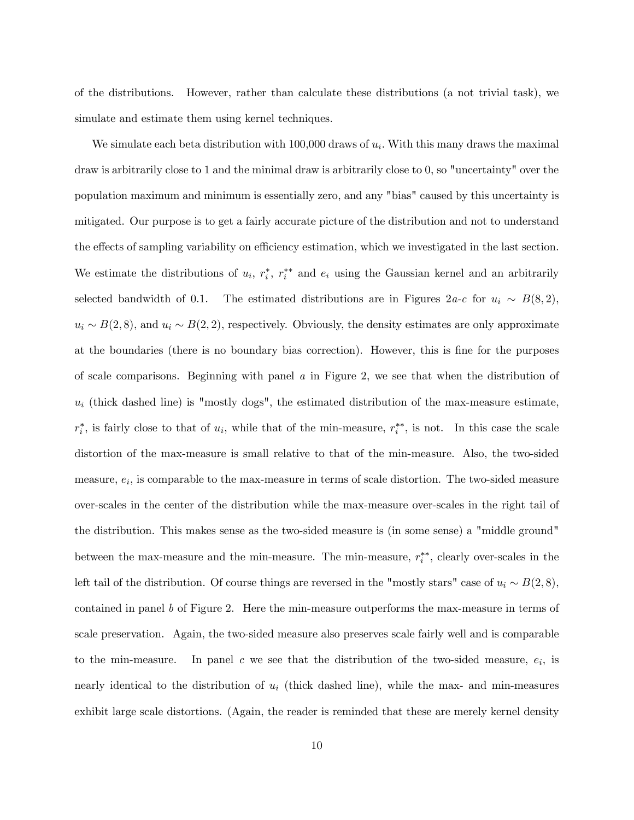of the distributions. However, rather than calculate these distributions (a not trivial task), we simulate and estimate them using kernel techniques.

We simulate each beta distribution with  $100,000$  draws of  $u_i$ . With this many draws the maximal draw is arbitrarily close to 1 and the minimal draw is arbitrarily close to 0, so "uncertainty" over the population maximum and minimum is essentially zero, and any "bias" caused by this uncertainty is mitigated. Our purpose is to get a fairly accurate picture of the distribution and not to understand the effects of sampling variability on efficiency estimation, which we investigated in the last section. We estimate the distributions of  $u_i$ ,  $r_i^*$ ,  $r_i^{**}$  and  $e_i$  using the Gaussian kernel and an arbitrarily selected bandwidth of 0.1. The estimated distributions are in Figures 2a-c for  $u_i \sim B(8, 2)$ ,  $u_i \sim B(2,8)$ , and  $u_i \sim B(2,2)$ , respectively. Obviously, the density estimates are only approximate at the boundaries (there is no boundary bias correction). However, this is fine for the purposes of scale comparisons. Beginning with panel  $a$  in Figure 2, we see that when the distribution of  $u_i$  (thick dashed line) is "mostly dogs", the estimated distribution of the max-measure estimate,  $r_i^*$ , is fairly close to that of  $u_i$ , while that of the min-measure,  $r_i^{**}$ , is not. In this case the scale distortion of the max-measure is small relative to that of the min-measure. Also, the two-sided measure,  $e_i$ , is comparable to the max-measure in terms of scale distortion. The two-sided measure over-scales in the center of the distribution while the max-measure over-scales in the right tail of the distribution. This makes sense as the two-sided measure is (in some sense) a "middle ground" between the max-measure and the min-measure. The min-measure,  $r_i^{**}$ , clearly over-scales in the left tail of the distribution. Of course things are reversed in the "mostly stars" case of  $u_i \sim B(2,8)$ , contained in panel  $b$  of Figure 2. Here the min-measure outperforms the max-measure in terms of scale preservation. Again, the two-sided measure also preserves scale fairly well and is comparable to the min-measure. In panel c we see that the distribution of the two-sided measure,  $e_i$ , is nearly identical to the distribution of  $u_i$  (thick dashed line), while the max- and min-measures exhibit large scale distortions. (Again, the reader is reminded that these are merely kernel density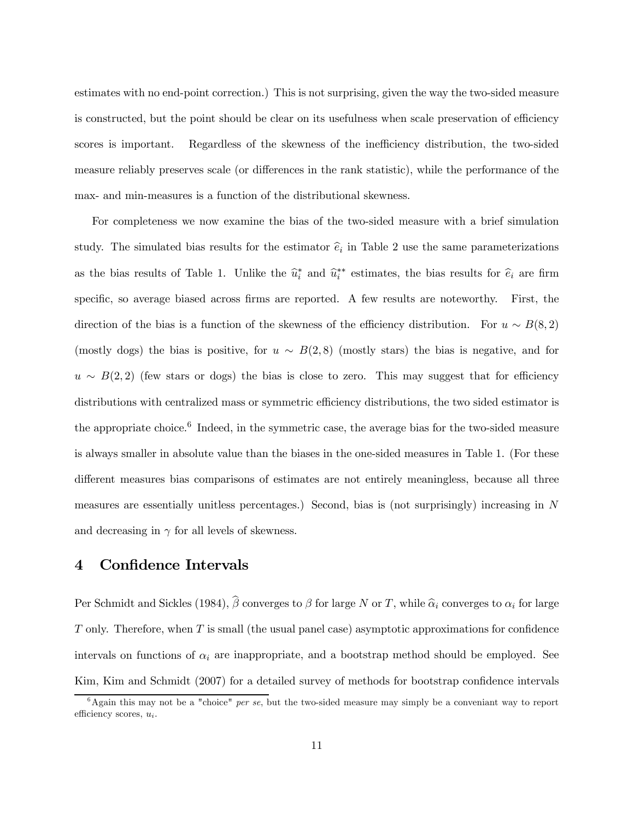estimates with no end-point correction.) This is not surprising, given the way the two-sided measure is constructed, but the point should be clear on its usefulness when scale preservation of efficiency scores is important. Regardless of the skewness of the inefficiency distribution, the two-sided measure reliably preserves scale (or differences in the rank statistic), while the performance of the max- and min-measures is a function of the distributional skewness.

For completeness we now examine the bias of the two-sided measure with a brief simulation study. The simulated bias results for the estimator  $\hat{e}_i$  in Table 2 use the same parameterizations as the bias results of Table 1. Unlike the  $\hat{u}_i^*$  and  $\hat{u}_i^{**}$  estimates, the bias results for  $\hat{e}_i$  are firm specific, so average biased across firms are reported. A few results are noteworthy. First, the direction of the bias is a function of the skewness of the efficiency distribution. For  $u \sim B(8, 2)$ (mostly dogs) the bias is positive, for  $u \sim B(2,8)$  (mostly stars) the bias is negative, and for  $u \sim B(2, 2)$  (few stars or dogs) the bias is close to zero. This may suggest that for efficiency distributions with centralized mass or symmetric efficiency distributions, the two sided estimator is the appropriate choice.<sup>6</sup> Indeed, in the symmetric case, the average bias for the two-sided measure is always smaller in absolute value than the biases in the one-sided measures in Table 1. (For these different measures bias comparisons of estimates are not entirely meaningless, because all three measures are essentially unitless percentages.) Second, bias is (not surprisingly) increasing in N and decreasing in  $\gamma$  for all levels of skewness.

### 4 Confidence Intervals

Per Schmidt and Sickles (1984),  $\hat{\beta}$  converges to  $\beta$  for large N or T, while  $\hat{\alpha}_i$  converges to  $\alpha_i$  for large T only. Therefore, when T is small (the usual panel case) asymptotic approximations for confidence intervals on functions of  $\alpha_i$  are inappropriate, and a bootstrap method should be employed. See Kim, Kim and Schmidt (2007) for a detailed survey of methods for bootstrap confidence intervals

 $6$ Again this may not be a "choice" per se, but the two-sided measure may simply be a conveniant way to report efficiency scores,  $u_i$ .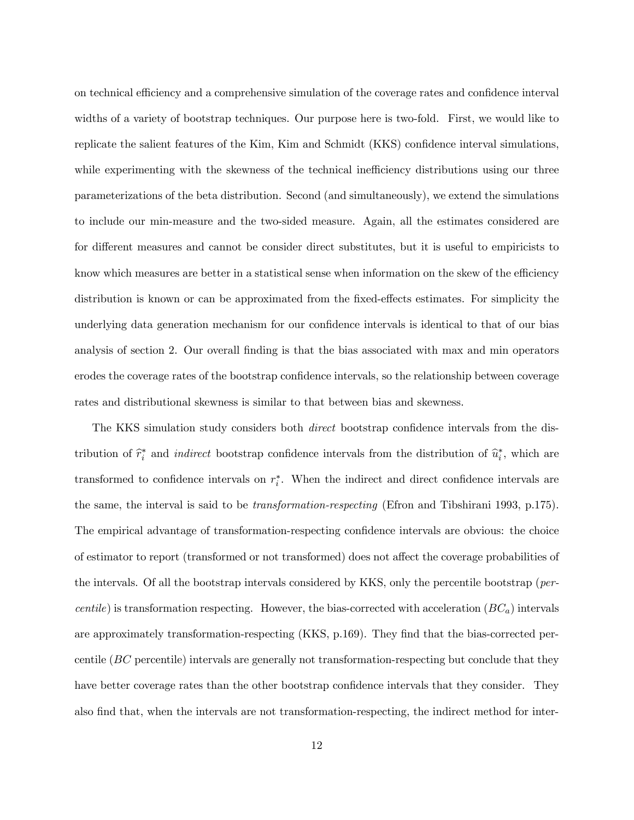on technical efficiency and a comprehensive simulation of the coverage rates and confidence interval widths of a variety of bootstrap techniques. Our purpose here is two-fold. First, we would like to replicate the salient features of the Kim, Kim and Schmidt (KKS) confidence interval simulations, while experimenting with the skewness of the technical inefficiency distributions using our three parameterizations of the beta distribution. Second (and simultaneously), we extend the simulations to include our min-measure and the two-sided measure. Again, all the estimates considered are for different measures and cannot be consider direct substitutes, but it is useful to empiricists to know which measures are better in a statistical sense when information on the skew of the efficiency distribution is known or can be approximated from the fixed-effects estimates. For simplicity the underlying data generation mechanism for our confidence intervals is identical to that of our bias analysis of section 2. Our overall finding is that the bias associated with max and min operators erodes the coverage rates of the bootstrap confidence intervals, so the relationship between coverage rates and distributional skewness is similar to that between bias and skewness.

The KKS simulation study considers both *direct* bootstrap confidence intervals from the distribution of  $\hat{\tau}_i^*$  and *indirect* bootstrap confidence intervals from the distribution of  $\hat{u}_i^*$ , which are transformed to confidence intervals on  $r_i^*$ . When the indirect and direct confidence intervals are the same, the interval is said to be transformation-respecting (Efron and Tibshirani 1993, p.175). The empirical advantage of transformation-respecting confidence intervals are obvious: the choice of estimator to report (transformed or not transformed) does not affect the coverage probabilities of the intervals. Of all the bootstrap intervals considered by KKS, only the percentile bootstrap (percentile) is transformation respecting. However, the bias-corrected with acceleration  $(BC_a)$  intervals are approximately transformation-respecting (KKS, p.169). They find that the bias-corrected percentile (BC percentile) intervals are generally not transformation-respecting but conclude that they have better coverage rates than the other bootstrap confidence intervals that they consider. They also find that, when the intervals are not transformation-respecting, the indirect method for inter-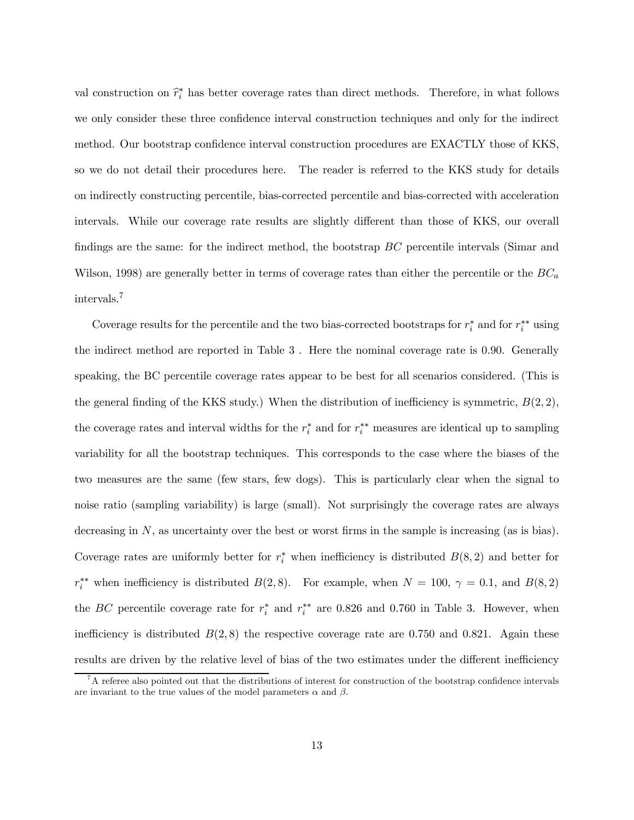val construction on  $\hat{r}_i^*$  has better coverage rates than direct methods. Therefore, in what follows we only consider these three confidence interval construction techniques and only for the indirect method. Our bootstrap confidence interval construction procedures are EXACTLY those of KKS, so we do not detail their procedures here. The reader is referred to the KKS study for details on indirectly constructing percentile, bias-corrected percentile and bias-corrected with acceleration intervals. While our coverage rate results are slightly different than those of KKS, our overall findings are the same: for the indirect method, the bootstrap BC percentile intervals (Simar and Wilson, 1998) are generally better in terms of coverage rates than either the percentile or the  $BC_a$ intervals.<sup>7</sup>

Coverage results for the percentile and the two bias-corrected bootstraps for  $r_i^*$  and for  $r_i^{**}$  using the indirect method are reported in Table 3 . Here the nominal coverage rate is 0.90. Generally speaking, the BC percentile coverage rates appear to be best for all scenarios considered. (This is the general finding of the KKS study.) When the distribution of inefficiency is symmetric,  $B(2, 2)$ , the coverage rates and interval widths for the  $r_i^*$  and for  $r_i^{**}$  measures are identical up to sampling variability for all the bootstrap techniques. This corresponds to the case where the biases of the two measures are the same (few stars, few dogs). This is particularly clear when the signal to noise ratio (sampling variability) is large (small). Not surprisingly the coverage rates are always decreasing in  $N$ , as uncertainty over the best or worst firms in the sample is increasing (as is bias). Coverage rates are uniformly better for  $r_i^*$  when inefficiency is distributed  $B(8, 2)$  and better for  $r_i^{**}$  when inefficiency is distributed  $B(2,8)$ . For example, when  $N = 100$ ,  $\gamma = 0.1$ , and  $B(8,2)$ the BC percentile coverage rate for  $r_i^*$  and  $r_i^{**}$  are 0.826 and 0.760 in Table 3. However, when inefficiency is distributed  $B(2, 8)$  the respective coverage rate are 0.750 and 0.821. Again these results are driven by the relative level of bias of the two estimates under the different inefficiency

 ${}^{7}$ A referee also pointed out that the distributions of interest for construction of the bootstrap confidence intervals are invariant to the true values of the model parameters  $\alpha$  and  $\beta$ .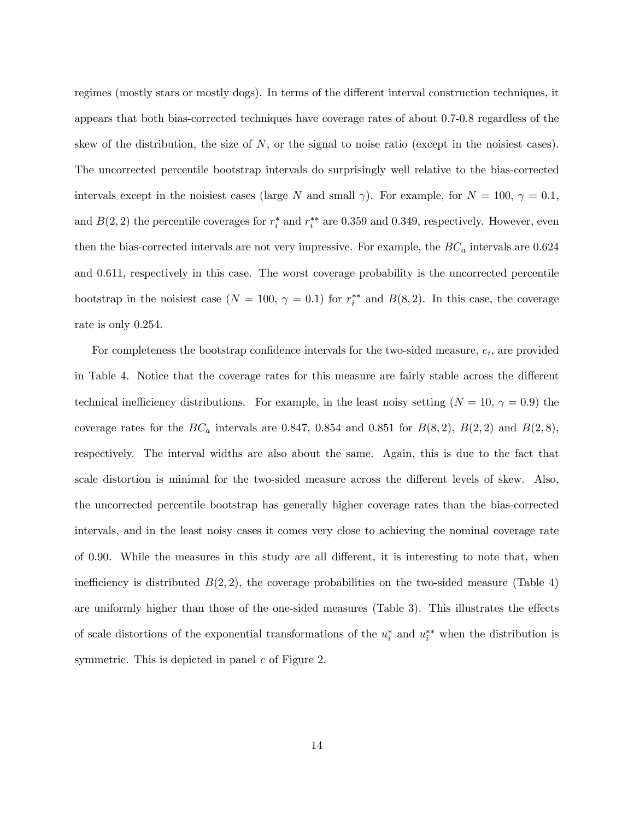regimes (mostly stars or mostly dogs). In terms of the different interval construction techniques, it appears that both bias-corrected techniques have coverage rates of about 0.7-0.8 regardless of the skew of the distribution, the size of  $N$ , or the signal to noise ratio (except in the noisiest cases). The uncorrected percentile bootstrap intervals do surprisingly well relative to the bias-corrected intervals except in the noisiest cases (large N and small  $\gamma$ ). For example, for  $N = 100$ ,  $\gamma = 0.1$ , and  $B(2, 2)$  the percentile coverages for  $r_i^*$  and  $r_i^{**}$  are 0.359 and 0.349, respectively. However, even then the bias-corrected intervals are not very impressive. For example, the  $BC_a$  intervals are 0.624 and 0.611, respectively in this case. The worst coverage probability is the uncorrected percentile bootstrap in the noisiest case  $(N = 100, \gamma = 0.1)$  for  $r_i^{**}$  and  $B(8, 2)$ . In this case, the coverage rate is only 0.254.

For completeness the bootstrap confidence intervals for the two-sided measure,  $e_i$ , are provided in Table 4. Notice that the coverage rates for this measure are fairly stable across the different technical inefficiency distributions. For example, in the least noisy setting  $(N = 10, \gamma = 0.9)$  the coverage rates for the  $BC_a$  intervals are 0.847, 0.854 and 0.851 for  $B(8, 2)$ ,  $B(2, 2)$  and  $B(2, 8)$ , respectively. The interval widths are also about the same. Again, this is due to the fact that scale distortion is minimal for the two-sided measure across the different levels of skew. Also, the uncorrected percentile bootstrap has generally higher coverage rates than the bias-corrected intervals, and in the least noisy cases it comes very close to achieving the nominal coverage rate of 0.90. While the measures in this study are all different, it is interesting to note that, when inefficiency is distributed  $B(2, 2)$ , the coverage probabilities on the two-sided measure (Table 4) are uniformly higher than those of the one-sided measures (Table 3). This illustrates the effects of scale distortions of the exponential transformations of the  $u_i^*$  and  $u_i^{**}$  when the distribution is symmetric. This is depicted in panel  $c$  of Figure 2.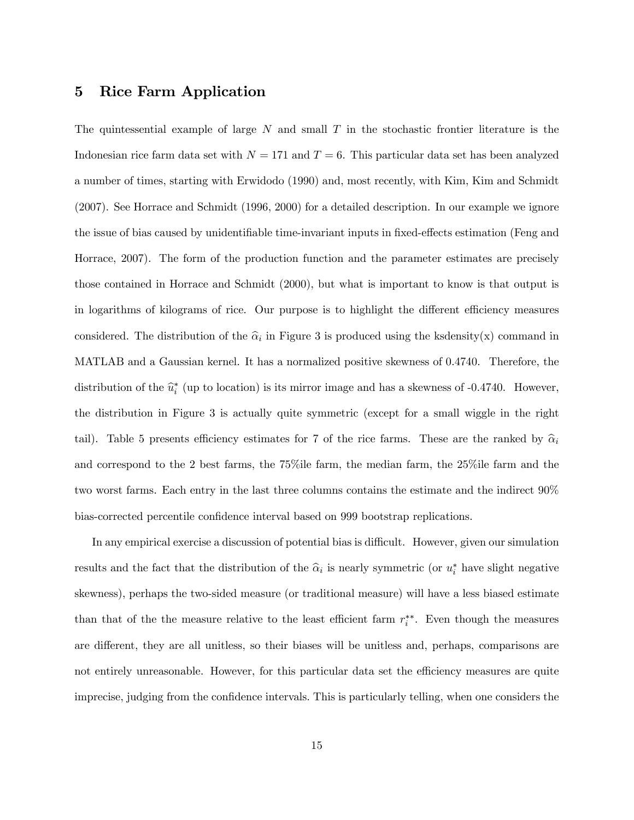### 5 Rice Farm Application

The quintessential example of large  $N$  and small  $T$  in the stochastic frontier literature is the Indonesian rice farm data set with  $N = 171$  and  $T = 6$ . This particular data set has been analyzed a number of times, starting with Erwidodo (1990) and, most recently, with Kim, Kim and Schmidt (2007). See Horrace and Schmidt (1996, 2000) for a detailed description. In our example we ignore the issue of bias caused by unidentifiable time-invariant inputs in fixed-effects estimation (Feng and Horrace, 2007). The form of the production function and the parameter estimates are precisely those contained in Horrace and Schmidt (2000), but what is important to know is that output is in logarithms of kilograms of rice. Our purpose is to highlight the different efficiency measures considered. The distribution of the  $\hat{\alpha}_i$  in Figure 3 is produced using the ksdensity(x) command in MATLAB and a Gaussian kernel. It has a normalized positive skewness of 0.4740. Therefore, the distribution of the  $\hat{u}_i^*$  (up to location) is its mirror image and has a skewness of -0.4740. However, the distribution in Figure 3 is actually quite symmetric (except for a small wiggle in the right tail). Table 5 presents efficiency estimates for 7 of the rice farms. These are the ranked by  $\hat{\alpha}_i$ and correspond to the 2 best farms, the 75%ile farm, the median farm, the 25%ile farm and the two worst farms. Each entry in the last three columns contains the estimate and the indirect 90% bias-corrected percentile confidence interval based on 999 bootstrap replications.

In any empirical exercise a discussion of potential bias is difficult. However, given our simulation results and the fact that the distribution of the  $\hat{\alpha}_i$  is nearly symmetric (or  $u_i^*$  have slight negative skewness), perhaps the two-sided measure (or traditional measure) will have a less biased estimate than that of the the measure relative to the least efficient farm  $r_i^{**}$ . Even though the measures are different, they are all unitless, so their biases will be unitless and, perhaps, comparisons are not entirely unreasonable. However, for this particular data set the efficiency measures are quite imprecise, judging from the confidence intervals. This is particularly telling, when one considers the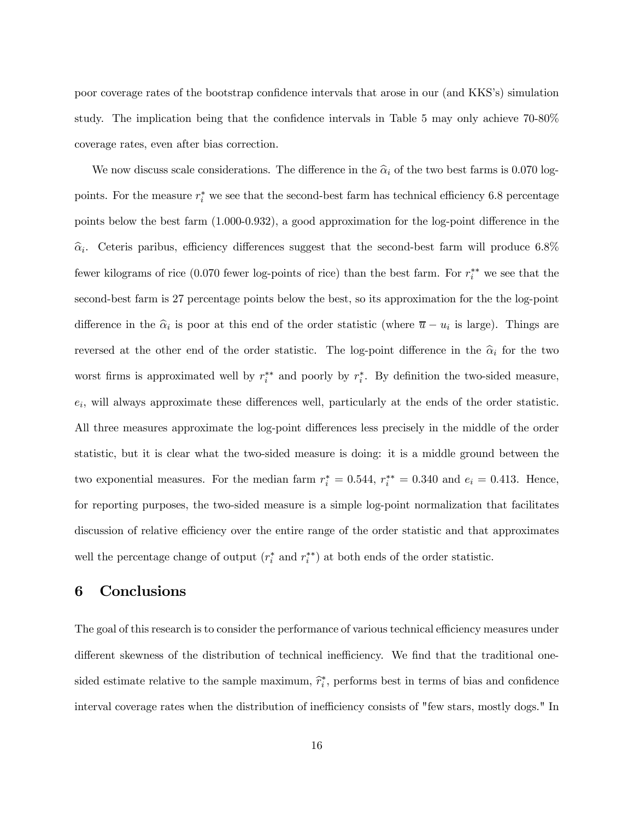poor coverage rates of the bootstrap confidence intervals that arose in our (and KKS's) simulation study. The implication being that the confidence intervals in Table 5 may only achieve 70-80% coverage rates, even after bias correction.

We now discuss scale considerations. The difference in the  $\hat{\alpha}_i$  of the two best farms is 0.070 logpoints. For the measure  $r_i^*$  we see that the second-best farm has technical efficiency 6.8 percentage points below the best farm (1.000-0.932), a good approximation for the log-point difference in the  $\hat{\alpha}_i$ . Ceteris paribus, efficiency differences suggest that the second-best farm will produce 6.8% fewer kilograms of rice (0.070 fewer log-points of rice) than the best farm. For  $r_i^{**}$  we see that the second-best farm is 27 percentage points below the best, so its approximation for the the log-point difference in the  $\hat{\alpha}_i$  is poor at this end of the order statistic (where  $\overline{u} - u_i$  is large). Things are reversed at the other end of the order statistic. The log-point difference in the  $\hat{\alpha}_i$  for the two worst firms is approximated well by  $r_i^*$  and poorly by  $r_i^*$ . By definition the two-sided measure,  $e_i$ , will always approximate these differences well, particularly at the ends of the order statistic. All three measures approximate the log-point differences less precisely in the middle of the order statistic, but it is clear what the two-sided measure is doing: it is a middle ground between the two exponential measures. For the median farm  $r_i^* = 0.544$ ,  $r_i^{**} = 0.340$  and  $e_i = 0.413$ . Hence, for reporting purposes, the two-sided measure is a simple log-point normalization that facilitates discussion of relative efficiency over the entire range of the order statistic and that approximates well the percentage change of output  $(r_i^*$  and  $r_i^{**}$ ) at both ends of the order statistic.

### 6 Conclusions

The goal of this research is to consider the performance of various technical efficiency measures under different skewness of the distribution of technical inefficiency. We find that the traditional onesided estimate relative to the sample maximum,  $\hat{r}_i^*$ , performs best in terms of bias and confidence interval coverage rates when the distribution of inefficiency consists of "few stars, mostly dogs." In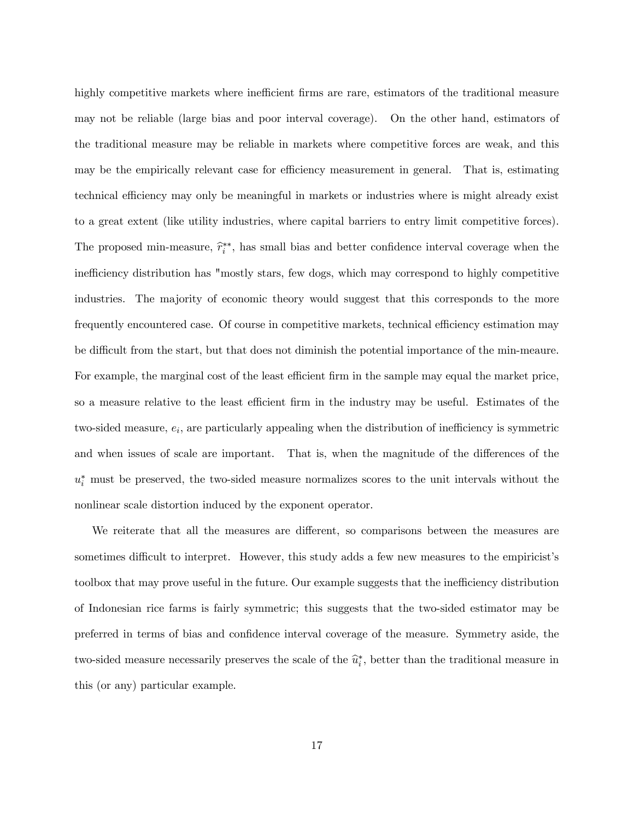highly competitive markets where inefficient firms are rare, estimators of the traditional measure may not be reliable (large bias and poor interval coverage). On the other hand, estimators of the traditional measure may be reliable in markets where competitive forces are weak, and this may be the empirically relevant case for efficiency measurement in general. That is, estimating technical efficiency may only be meaningful in markets or industries where is might already exist to a great extent (like utility industries, where capital barriers to entry limit competitive forces). The proposed min-measure,  $\hat{r}_i^{**}$ , has small bias and better confidence interval coverage when the inefficiency distribution has "mostly stars, few dogs, which may correspond to highly competitive industries. The majority of economic theory would suggest that this corresponds to the more frequently encountered case. Of course in competitive markets, technical efficiency estimation may be difficult from the start, but that does not diminish the potential importance of the min-meaure. For example, the marginal cost of the least efficient firm in the sample may equal the market price, so a measure relative to the least efficient firm in the industry may be useful. Estimates of the two-sided measure,  $e_i$ , are particularly appealing when the distribution of inefficiency is symmetric and when issues of scale are important. That is, when the magnitude of the differences of the  $u_i^*$  must be preserved, the two-sided measure normalizes scores to the unit intervals without the nonlinear scale distortion induced by the exponent operator.

We reiterate that all the measures are different, so comparisons between the measures are sometimes difficult to interpret. However, this study adds a few new measures to the empiricist's toolbox that may prove useful in the future. Our example suggests that the inefficiency distribution of Indonesian rice farms is fairly symmetric; this suggests that the two-sided estimator may be preferred in terms of bias and confidence interval coverage of the measure. Symmetry aside, the two-sided measure necessarily preserves the scale of the  $\hat{u}_i^*$ , better than the traditional measure in this (or any) particular example.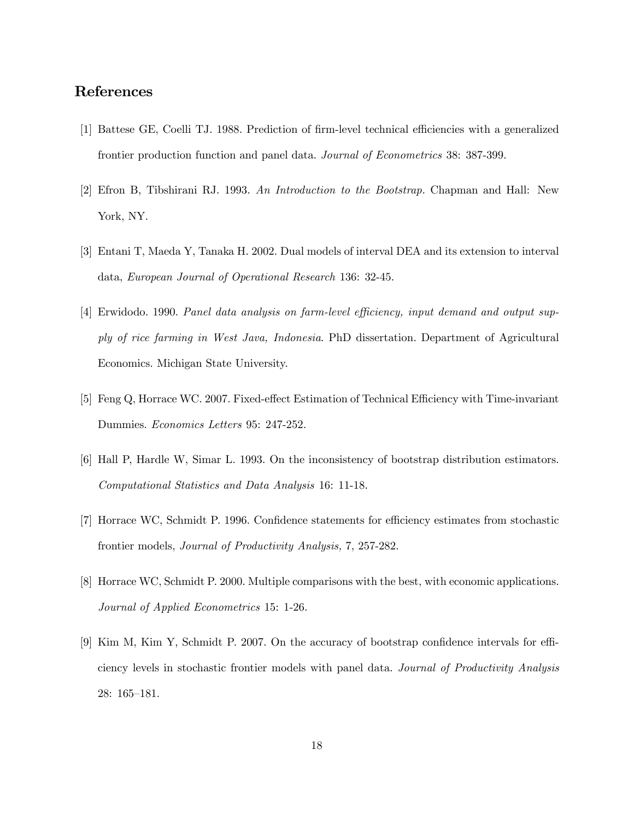### References

- [1] Battese GE, Coelli TJ. 1988. Prediction of firm-level technical efficiencies with a generalized frontier production function and panel data. Journal of Econometrics 38: 387-399.
- [2] Efron B, Tibshirani RJ. 1993. An Introduction to the Bootstrap. Chapman and Hall: New York, NY.
- [3] Entani T, Maeda Y, Tanaka H. 2002. Dual models of interval DEA and its extension to interval data, European Journal of Operational Research 136: 32-45.
- [4] Erwidodo. 1990. Panel data analysis on farm-level efficiency, input demand and output supply of rice farming in West Java, Indonesia. PhD dissertation. Department of Agricultural Economics. Michigan State University.
- [5] Feng Q, Horrace WC. 2007. Fixed-effect Estimation of Technical Efficiency with Time-invariant Dummies. Economics Letters 95: 247-252.
- [6] Hall P, Hardle W, Simar L. 1993. On the inconsistency of bootstrap distribution estimators. Computational Statistics and Data Analysis 16: 11-18.
- [7] Horrace WC, Schmidt P. 1996. Confidence statements for efficiency estimates from stochastic frontier models, Journal of Productivity Analysis, 7, 257-282.
- [8] Horrace WC, Schmidt P. 2000. Multiple comparisons with the best, with economic applications. Journal of Applied Econometrics 15: 1-26.
- [9] Kim M, Kim Y, Schmidt P. 2007. On the accuracy of bootstrap confidence intervals for efficiency levels in stochastic frontier models with panel data. Journal of Productivity Analysis 28: 165—181.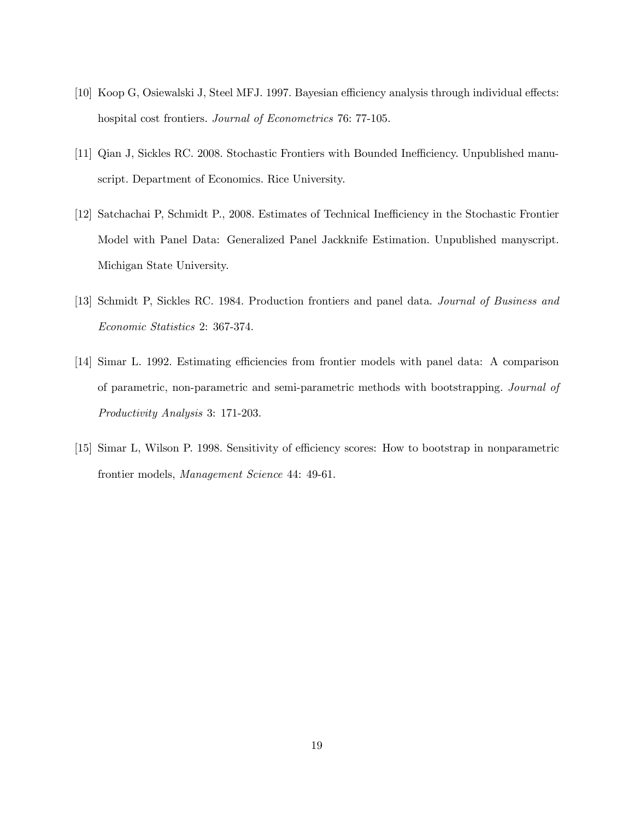- [10] Koop G, Osiewalski J, Steel MFJ. 1997. Bayesian efficiency analysis through individual effects: hospital cost frontiers. Journal of Econometrics 76: 77-105.
- [11] Qian J, Sickles RC. 2008. Stochastic Frontiers with Bounded Inefficiency. Unpublished manuscript. Department of Economics. Rice University.
- [12] Satchachai P, Schmidt P., 2008. Estimates of Technical Inefficiency in the Stochastic Frontier Model with Panel Data: Generalized Panel Jackknife Estimation. Unpublished manyscript. Michigan State University.
- [13] Schmidt P, Sickles RC. 1984. Production frontiers and panel data. Journal of Business and Economic Statistics 2: 367-374.
- [14] Simar L. 1992. Estimating efficiencies from frontier models with panel data: A comparison of parametric, non-parametric and semi-parametric methods with bootstrapping. Journal of Productivity Analysis 3: 171-203.
- [15] Simar L, Wilson P. 1998. Sensitivity of efficiency scores: How to bootstrap in nonparametric frontier models, Management Science 44: 49-61.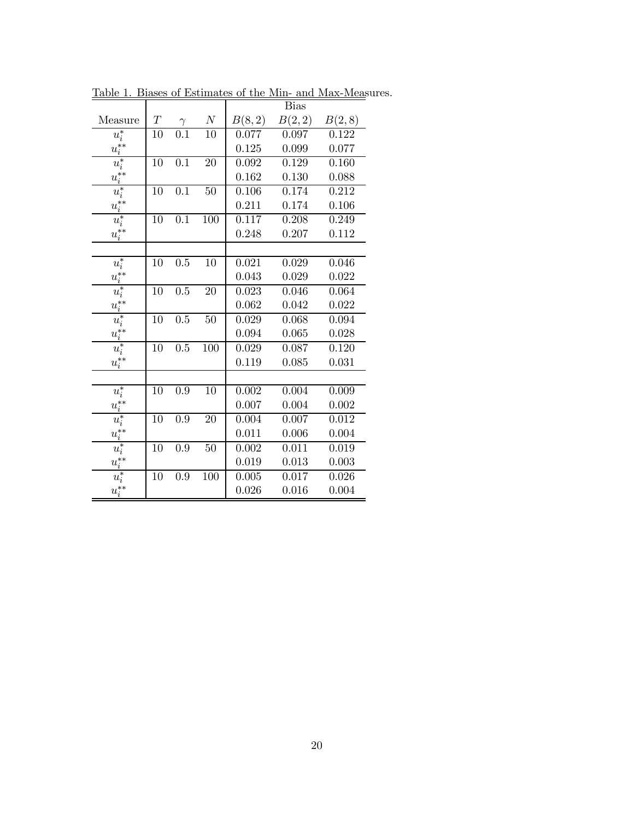|                                  |    |     |                 |        | <b>Bias</b> |        |
|----------------------------------|----|-----|-----------------|--------|-------------|--------|
| Measure                          | T  |     | $\cal N$        | B(8,2) | B(2,2)      | B(2,8) |
| $\overline{u_i^*}$               | 10 | 0.1 | $\overline{10}$ | 0.077  | 0.097       | 0.122  |
| $u_i^{**}$                       |    |     |                 | 0.125  | 0.099       | 0.077  |
| $\frac{1}{u_i^*}$                | 10 | 0.1 | 20              | 0.092  | 0.129       | 0.160  |
| $u_i^{\ast\ast}$                 |    |     |                 | 0.162  | 0.130       | 0.088  |
| $u_i^\ast$                       | 10 | 0.1 | 50              | 0.106  | 0.174       | 0.212  |
| $u_i^{**}$                       |    |     |                 | 0.211  | 0.174       | 0.106  |
| $\overline{u_i^*}$               | 10 | 0.1 | 100             | 0.117  | 0.208       | 0.249  |
| $u_i^{**}$                       |    |     |                 | 0.248  | 0.207       | 0.112  |
|                                  |    |     |                 |        |             |        |
| $u_i^\ast$                       | 10 | 0.5 | 10              | 0.021  | 0.029       | 0.046  |
|                                  |    |     |                 | 0.043  | 0.029       | 0.022  |
| $\frac{u_i^{**}}{u_i^*}$         | 10 | 0.5 | 20              | 0.023  | 0.046       | 0.064  |
| $u_i^{**}$                       |    |     |                 | 0.062  | 0.042       | 0.022  |
|                                  | 10 | 0.5 | 50              | 0.029  | 0.068       | 0.094  |
| $\frac{u_i^*}{u_i^{**}}$         |    |     |                 | 0.094  | 0.065       | 0.028  |
| $\overline{u_i^*}$               | 10 | 0.5 | 100             | 0.029  | 0.087       | 0.120  |
| $u_i^{**}$                       |    |     |                 | 0.119  | 0.085       | 0.031  |
|                                  |    |     |                 |        |             |        |
| $u_i^\ast$                       | 10 | 0.9 | 10              | 0.002  | 0.004       | 0.009  |
| $u_i^{**}$                       |    |     |                 | 0.007  | 0.004       | 0.002  |
|                                  | 10 | 0.9 | 20              | 0.004  | 0.007       | 0.012  |
| $\overline{u_i^*}$<br>$u_i^{**}$ |    |     |                 | 0.011  | 0.006       | 0.004  |
| $u_i^\ast$                       | 10 | 0.9 | 50              | 0.002  | 0.011       | 0.019  |
| $u_i^{\ast\ast}$                 |    |     |                 | 0.019  | 0.013       | 0.003  |
| $\overline{u_i^*}$               | 10 | 0.9 | 100             | 0.005  | 0.017       | 0.026  |
| $u_i^{**}$                       |    |     |                 | 0.026  | 0.016       | 0.004  |

Table 1. Biases of Estimates of the Min- and Max-Measures.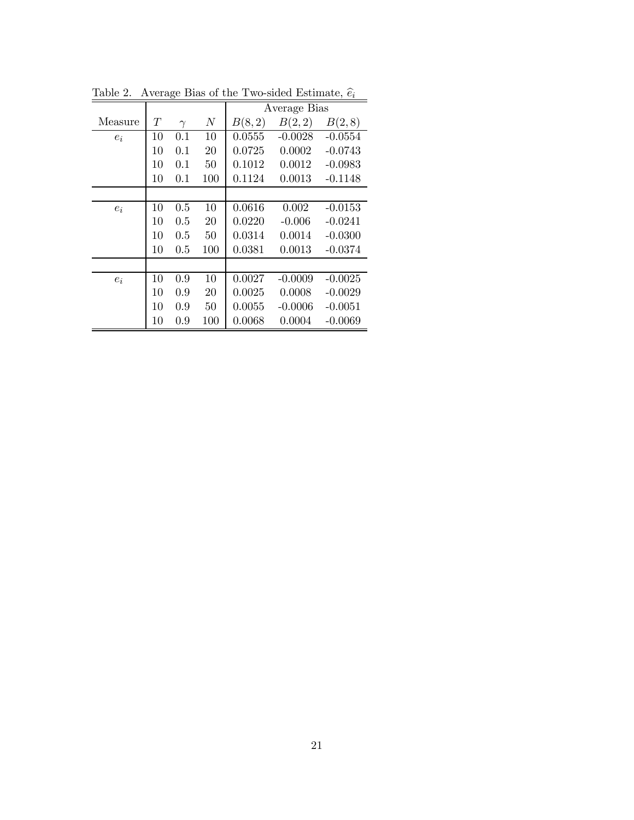| ranic 2.<br>Trendage Dias of the Two-sided Dominate, $c_i$ |    |          |                  |        |              |           |  |  |  |
|------------------------------------------------------------|----|----------|------------------|--------|--------------|-----------|--|--|--|
|                                                            |    |          |                  |        | Average Bias |           |  |  |  |
| Measure                                                    | T  | $\gamma$ | $\boldsymbol{N}$ | B(8,2) | B(2,2)       | B(2,8)    |  |  |  |
| $e_i$                                                      | 10 | 0.1      | 10               | 0.0555 | $-0.0028$    | $-0.0554$ |  |  |  |
|                                                            | 10 | 0.1      | 20               | 0.0725 | 0.0002       | $-0.0743$ |  |  |  |
|                                                            | 10 | 0.1      | $50\,$           | 0.1012 | 0.0012       | $-0.0983$ |  |  |  |
|                                                            | 10 | 0.1      | 100              | 0.1124 | 0.0013       | $-0.1148$ |  |  |  |
|                                                            |    |          |                  |        |              |           |  |  |  |
| $e_i$                                                      | 10 | 0.5      | 10               | 0.0616 | 0.002        | $-0.0153$ |  |  |  |
|                                                            | 10 | 0.5      | 20               | 0.0220 | $-0.006$     | $-0.0241$ |  |  |  |
|                                                            | 10 | 0.5      | $50\,$           | 0.0314 | 0.0014       | $-0.0300$ |  |  |  |
|                                                            | 10 | 0.5      | 100              | 0.0381 | 0.0013       | $-0.0374$ |  |  |  |
|                                                            |    |          |                  |        |              |           |  |  |  |
| $e_i$                                                      | 10 | 0.9      | 10               | 0.0027 | $-0.0009$    | $-0.0025$ |  |  |  |
|                                                            | 10 | 0.9      | 20               | 0.0025 | 0.0008       | $-0.0029$ |  |  |  |
|                                                            | 10 | 0.9      | 50               | 0.0055 | $-0.0006$    | $-0.0051$ |  |  |  |
|                                                            | 10 | 0.9      | 100              | 0.0068 | 0.0004       | $-0.0069$ |  |  |  |

Table 2. Average Bias of the Two-sided Estimate,  $\hat{e}_i$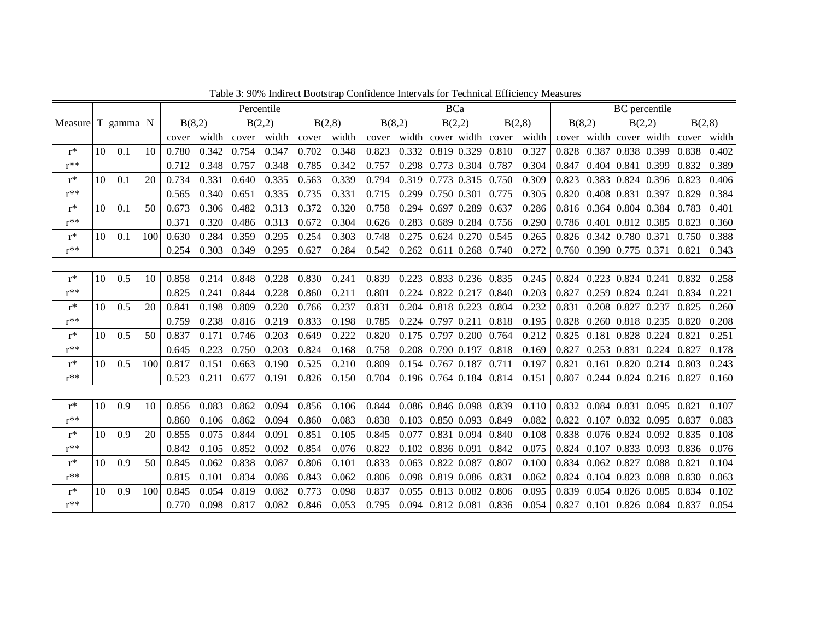|                   |    |     |                 | Percentile |             |       |        |       | BCa    |        |       |                               |  | BC percentile |        |        |                         |                   |                               |                                     |        |
|-------------------|----|-----|-----------------|------------|-------------|-------|--------|-------|--------|--------|-------|-------------------------------|--|---------------|--------|--------|-------------------------|-------------------|-------------------------------|-------------------------------------|--------|
| Measure T gamma N |    |     |                 | B(8,2)     |             |       | B(2,2) |       | B(2,8) | B(8,2) |       | B(2,2)                        |  |               | B(2,8) | B(8,2) |                         | B(2,2)            |                               |                                     | B(2,8) |
|                   |    |     |                 |            | cover width | cover | width  | cover | width  | cover  |       | width cover width cover width |  |               |        |        |                         |                   |                               | cover width cover width cover width |        |
| $r^*$             | 10 | 0.1 | 10              | 0.780      | 0.342       | 0.754 | 0.347  | 0.702 | 0.348  | 0.823  |       | 0.332 0.819 0.329 0.810       |  |               | 0.327  | 0.828  | 0.387 0.838 0.399       |                   |                               | 0.838                               | 0.402  |
| $r^{**}$          |    |     |                 | 0.712      | 0.348       | 0.757 | 0.348  | 0.785 | 0.342  | 0.757  |       | 0.298 0.773 0.304 0.787       |  |               | 0.304  | 0.847  |                         | 0.404 0.841 0.399 |                               | 0.832                               | 0.389  |
| $r^*$             | 10 | 0.1 | 20              | 0.734      | 0.331       | 0.640 | 0.335  | 0.563 | 0.339  | 0.794  |       | 0.319 0.773 0.315 0.750       |  |               | 0.309  | 0.823  |                         |                   | 0.383 0.824 0.396 0.823       |                                     | 0.406  |
| $r^{**}$          |    |     |                 | 0.565      | 0.340       | 0.651 | 0.335  | 0.735 | 0.331  | 0.715  |       | 0.299 0.750 0.301 0.775       |  |               | 0.305  | 0.820  | 0.408 0.831 0.397       |                   |                               | 0.829                               | 0.384  |
| $r^*$             | 10 | 0.1 | 50              | 0.673      | 0.306       | 0.482 | 0.313  | 0.372 | 0.320  | 0.758  |       | 0.294 0.697 0.289             |  | 0.637         | 0.286  |        |                         |                   | 0.816 0.364 0.804 0.384       | 0.783                               | 0.401  |
| $r^{**}$          |    |     |                 | 0.371      | 0.320       | 0.486 | 0.313  | 0.672 | 0.304  | 0.626  |       | 0.283 0.689 0.284 0.756       |  |               | 0.290  |        |                         |                   | 0.786 0.401 0.812 0.385       | 0.823                               | 0.360  |
| $r^*$             | 10 | 0.1 | 100             | 0.630      | 0.284       | 0.359 | 0.295  | 0.254 | 0.303  | 0.748  |       | 0.275 0.624 0.270 0.545       |  |               | 0.265  |        | 0.826 0.342 0.780 0.371 |                   |                               | 0.750                               | 0.388  |
| $r^{**}$          |    |     |                 | 0.254      | 0.303       | 0.349 | 0.295  | 0.627 | 0.284  | 0.542  |       | 0.262 0.611 0.268 0.740       |  |               | 0.272  |        |                         |                   |                               | 0.760 0.390 0.775 0.371 0.821       | 0.343  |
|                   |    |     |                 |            |             |       |        |       |        |        |       |                               |  |               |        |        |                         |                   |                               |                                     |        |
| $r^*$             | 10 | 0.5 | 10 <sup>1</sup> | 0.858      | 0.214       | 0.848 | 0.228  | 0.830 | 0.241  | 0.839  |       | 0.223 0.833 0.236 0.835       |  |               | 0.245  |        | 0.824 0.223 0.824 0.241 |                   |                               | 0.832                               | 0.258  |
| $r^{**}$          |    |     |                 | 0.825      | 0.241       | 0.844 | 0.228  | 0.860 | 0.211  | 0.801  |       | 0.224 0.822 0.217 0.840       |  |               | 0.203  | 0.827  |                         |                   | 0.259 0.824 0.241             | 0.834                               | 0.221  |
| $r^*$             | 10 | 0.5 | 20              | 0.841      | 0.198       | 0.809 | 0.220  | 0.766 | 0.237  | 0.831  |       | 0.204 0.818 0.223             |  | 0.804         | 0.232  | 0.831  |                         | 0.208 0.827 0.237 |                               | 0.825                               | 0.260  |
| $r^{**}$          |    |     |                 | 0.759      | 0.238       | 0.816 | 0.219  | 0.833 | 0.198  | 0.785  |       | 0.224 0.797 0.211 0.818       |  |               | 0.195  | 0.828  |                         |                   | 0.260 0.818 0.235             | 0.820                               | 0.208  |
| $r^*$             | 10 | 0.5 | 50              | 0.837      | 0.171       | 0.746 | 0.203  | 0.649 | 0.222  | 0.820  |       | 0.175 0.797 0.200 0.764       |  |               | 0.212  | 0.825  | 0.181 0.828 0.224       |                   |                               | 0.821                               | 0.251  |
| $r^{**}$          |    |     |                 | 0.645      | 0.223       | 0.750 | 0.203  | 0.824 | 0.168  | 0.758  |       | 0.208 0.790 0.197 0.818       |  |               | 0.169  | 0.827  |                         |                   | 0.253 0.831 0.224             | 0.827                               | 0.178  |
| $r^*$             | 10 | 0.5 | 100             | 0.817      | 0.151       | 0.663 | 0.190  | 0.525 | 0.210  | 0.809  |       | 0.154 0.767 0.187 0.711       |  |               | 0.197  | 0.821  |                         |                   | $0.161$ $0.820$ $0.214$       | 0.803                               | 0.243  |
| $r$ **            |    |     |                 | 0.523      | 0.211       | 0.677 | 0.191  | 0.826 | 0.150  | 0.704  |       | 0.196 0.764 0.184 0.814       |  |               | 0.151  |        |                         |                   |                               | 0.807 0.244 0.824 0.216 0.827       | 0.160  |
|                   |    |     |                 |            |             |       |        |       |        |        |       |                               |  |               |        |        |                         |                   |                               |                                     |        |
| $r^*$             | 10 | 0.9 | 10              | 0.856      | 0.083       | 0.862 | 0.094  | 0.856 | 0.106  | 0.844  |       | 0.086 0.846 0.098 0.839       |  |               | 0.110  |        |                         |                   | 0.832 0.084 0.831 0.095 0.821 |                                     | 0.107  |
| $r^{**}$          |    |     |                 | 0.860      | 0.106       | 0.862 | 0.094  | 0.860 | 0.083  | 0.838  |       | 0.103 0.850 0.093 0.849       |  |               | 0.082  | 0.822  |                         |                   | 0.107 0.832 0.095             | 0.837                               | 0.083  |
| $r^*$             | 10 | 0.9 | 20              | 0.855      | 0.075       | 0.844 | 0.091  | 0.851 | 0.105  | 0.845  | 0.077 | 0.831 0.094 0.840             |  |               | 0.108  |        |                         |                   | 0.838 0.076 0.824 0.092       | 0.835                               | 0.108  |
| $r^{**}$          |    |     |                 | 0.842      | 0.105       | 0.852 | 0.092  | 0.854 | 0.076  | 0.822  |       | 0.102 0.836 0.091 0.842       |  |               | 0.075  |        |                         |                   |                               | 0.824 0.107 0.833 0.093 0.836       | 0.076  |
| $r^*$             | 10 | 0.9 | 50              | 0.845      | 0.062       | 0.838 | 0.087  | 0.806 | 0.101  | 0.833  |       | 0.063 0.822 0.087             |  | 0.807         | 0.100  |        | 0.834 0.062 0.827       |                   | 0.088                         | 0.821                               | 0.104  |
| $r^{**}$          |    |     |                 | 0.815      | 0.101       | 0.834 | 0.086  | 0.843 | 0.062  | 0.806  |       | 0.098 0.819 0.086 0.831       |  |               | 0.062  |        |                         |                   |                               | 0.824 0.104 0.823 0.088 0.830       | 0.063  |
| $r^*$             | 10 | 0.9 | 100             | 0.845      | 0.054       | 0.819 | 0.082  | 0.773 | 0.098  | 0.837  |       | 0.055 0.813 0.082             |  | 0.806         | 0.095  | 0.839  | 0.054 0.826 0.085       |                   |                               | 0.834                               | 0.102  |
| $r$ **            |    |     |                 | 0.770      | 0.098       | 0.817 | 0.082  | 0.846 | 0.053  | 0.795  |       | 0.094 0.812 0.081 0.836 0.054 |  |               |        |        |                         |                   |                               | 0.827 0.101 0.826 0.084 0.837 0.054 |        |

Table 3: 90% Indirect Bootstrap Confidence Intervals for Technical Efficiency Measures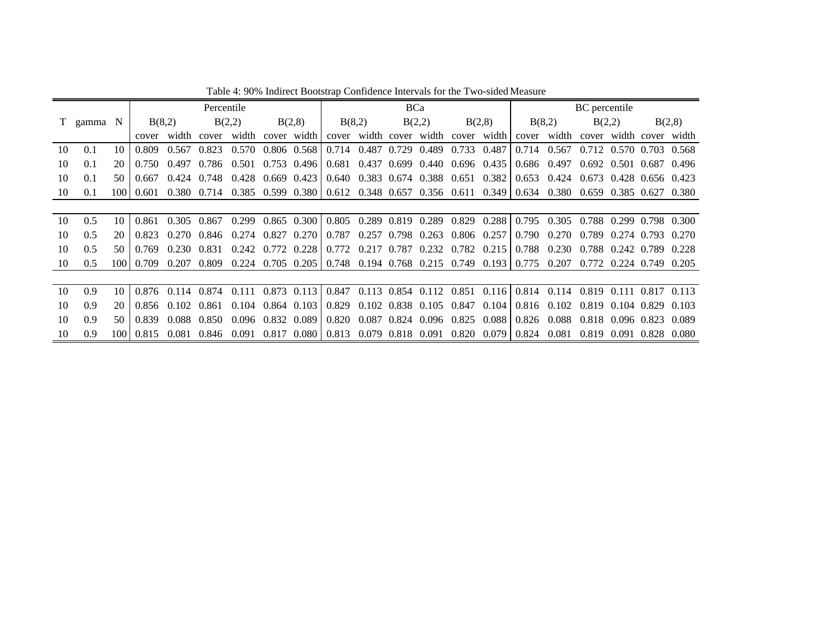|    | Percentile |    |             |       |             | BCa         |       |                 |                                                                                         |       | BC percentile |                         |             |                    |                                                 |       |        |             |                         |        |
|----|------------|----|-------------|-------|-------------|-------------|-------|-----------------|-----------------------------------------------------------------------------------------|-------|---------------|-------------------------|-------------|--------------------|-------------------------------------------------|-------|--------|-------------|-------------------------|--------|
| T. | gamma N    |    | B(8,2)      |       |             | B(2,2)      |       | B(2,8)          | B(8,2)                                                                                  |       |               | B(2,2)                  |             | B(2,8)             | B(8,2)                                          |       | B(2,2) |             |                         | B(2,8) |
|    |            |    | cover       | width |             | cover width |       | cover width     |                                                                                         |       |               |                         |             |                    | cover width cover width cover width cover width |       |        |             | cover width cover width |        |
| 10 | 0.1        | 10 | 0.809       | 0.567 | 0.823       | 0.570       |       | $0.806$ $0.568$ | 0.714                                                                                   | 0.487 | 0.729         | 0.489                   | 0.733       | 0.487              | 0.714                                           | 0.567 | 0.712  |             | 0.570 0.703             | 0.568  |
| 10 | 0.1        | 20 | 0.750       | 0.497 | 0.786       | 0.501       |       | $0.753$ 0.496   | 0.681                                                                                   | 0.437 | 0.699         | 0.440                   |             | $0.696$ $0.435$    | 0.686                                           | 0.497 | 0.692  | 0.501       | 0.687                   | 0.496  |
| 10 | 0.1        | 50 | 0.667       | 0.424 | 0.748       | 0.428       |       | $0.669$ $0.423$ | 0.640                                                                                   |       | 0.383 0.674   | 0.388                   | 0.651       | 0.382              | 0.653                                           | 0.424 | 0.673  |             | 0.428 0.656 0.423       |        |
| 10 | 0.1        |    | 100 0.601   |       | 0.380 0.714 |             |       |                 | $0.385$ $0.599$ $0.380$ $0.612$ $0.348$ $0.657$ $0.356$ $0.611$ $0.349$ $0.634$ $0.380$ |       |               |                         |             |                    |                                                 |       | 0.659  |             | 0.385 0.627             | 0.380  |
|    |            |    |             |       |             |             |       |                 |                                                                                         |       |               |                         |             |                    |                                                 |       |        |             |                         |        |
| 10 | 0.5        | 10 | 0.861       | 0.305 | 0.867       | 0.299       |       | $0.865$ $0.300$ |                                                                                         |       |               | 0.805 0.289 0.819 0.289 |             | 0.829 0.288        | 0.795                                           | 0.305 | 0.788  |             | 0.299 0.798 0.300       |        |
| 10 | 0.5        | 20 | 0.823       | 0.270 | 0.846       | 0.274       |       | $0.827$ 0.270   | 0.787                                                                                   |       | 0.257 0.798   | 0.263                   | 0.806 0.257 |                    | 0.790                                           | 0.270 | 0.789  |             | 0.274 0.793             | 0.270  |
| 10 | 0.5        | 50 | 0.769       | 0.230 | 0.831       | 0.242       |       | $0.772$ $0.228$ | 0.772                                                                                   | 0.217 | 0.787         | 0.232                   | 0.782       | 0.215              | 0.788                                           | 0.230 | 0.788  |             | 0.242 0.789             | 0.228  |
| 10 | 0.5        |    | 100 0.709   | 0.207 | 0.809       | 0.224       |       | $0.705$ $0.205$ | 0.748 0.194 0.768 0.215 0.749                                                           |       |               |                         |             | $0.193 \mid 0.775$ |                                                 | 0.207 | 0.772  |             | 0.224 0.749             | 0.205  |
|    |            |    |             |       |             |             |       |                 |                                                                                         |       |               |                         |             |                    |                                                 |       |        |             |                         |        |
| 10 | 0.9        | 10 | 0.876 0.114 |       | 0.874       | 0.111       |       | $0.873$ $0.113$ | 0.847                                                                                   |       |               | 0.113 0.854 0.112       | 0.851       |                    | $0.116 \mid 0.814$                              | 0.114 | 0.819  | 0.111       | 0.817 0.113             |        |
| 10 | 0.9        | 20 | 0.856       | 0.102 | 0.861       | 0.104       |       | $0.864$ $0.103$ | 0.829                                                                                   |       | 0.102 0.838   | 0.105                   | 0.847       | 0.104              | 0.816                                           | 0.102 | 0.819  |             | $0.104$ $0.829$ $0.103$ |        |
| 10 | 0.9        | 50 | 0.839       | 0.088 | 0.850       | 0.096       |       | $0.832$ $0.089$ | 0.820                                                                                   | 0.087 | 0.824         | 0.096                   | 0.825       | 0.088              | 0.826                                           | 0.088 | 0.818  | 0.096 0.823 |                         | 0.089  |
| 10 | 0.9        |    | 100 0.815   | 0.081 | 0.846       | 0.091       | 0.817 | 0.080           | 0.813                                                                                   | 0.079 | 0.818         | 0.091                   | 0.820       | 0.079              | 0.824                                           | 0.081 | 0.819  | 0.091       | 0.828                   | 0.080  |

Table 4: 90% Indirect Bootstrap Confidence Intervals for the Two-sided Measure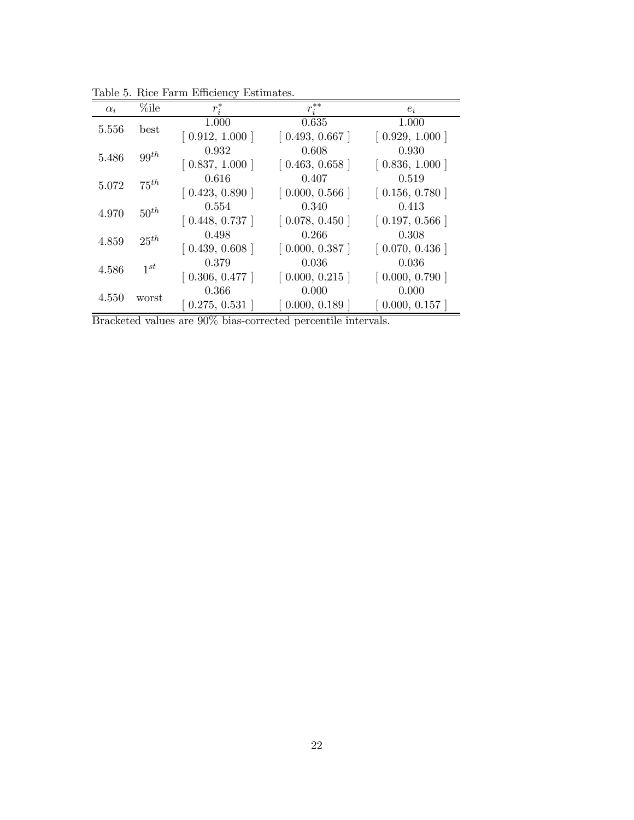| $\alpha_i$ | %ile      | $r_i^*$        | $r_i^{**}$     | $e_i$                       |
|------------|-----------|----------------|----------------|-----------------------------|
| 5.556      | best      | 1.000          | 0.635          | 1.000                       |
|            |           | [0.912, 1.000] | [0.493, 0.667] | [0.929, 1.000]              |
| 5.486      | $99^{th}$ | 0.932          | 0.608          | 0.930                       |
|            |           | [0.837, 1.000] | [0.463, 0.658] | $\left[0.836, 1.000\right]$ |
| 5.072      | $75^{th}$ | 0.616          | 0.407          | 0.519                       |
|            |           | [0.423, 0.890] | [0.000, 0.566] | [0.156, 0.780]              |
| 4.970      | $50^{th}$ | 0.554          | 0.340          | 0.413                       |
|            |           | [0.448, 0.737] | [0.078, 0.450] | [0.197, 0.566]              |
| 4.859      | $25^{th}$ | 0.498          | 0.266          | 0.308                       |
|            |           | [0.439, 0.608] | [0.000, 0.387] | [0.070, 0.436]              |
| 4.586      | $1^{st}$  | 0.379          | 0.036          | 0.036                       |
|            |           | [0.306, 0.477] | [0.000, 0.215] | [0.000, 0.790]              |
| 4.550      |           | 0.366          | 0.000          | 0.000                       |
|            | worst     | 0.275, 0.531   | [0.000, 0.189] | [0.000, 0.157]              |

Table 5. Rice Farm Efficiency Estimates.

Bracketed values are 90% bias-corrected percentile intervals.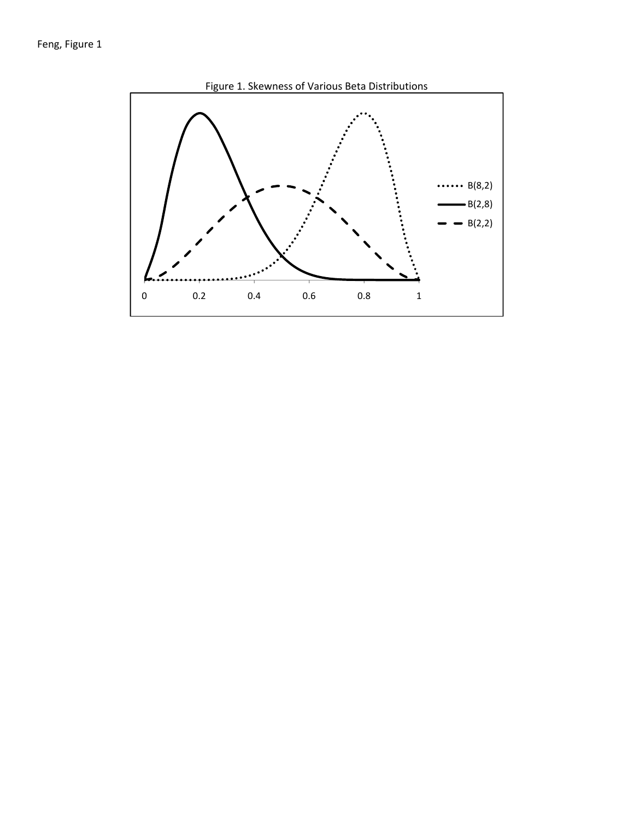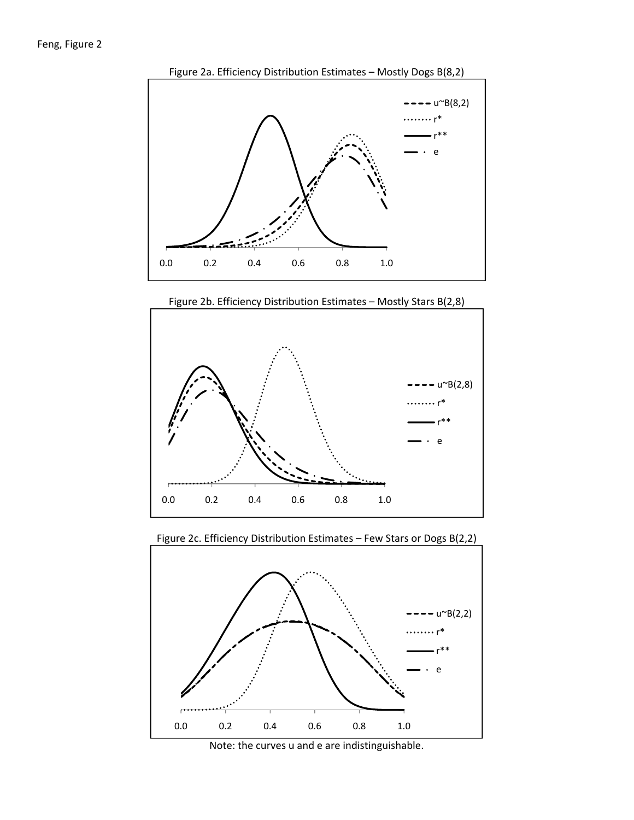

Figure 2b. Efficiency Distribution Estimates – Mostly Stars B(2,8)



Figure 2c. Efficiency Distribution Estimates – Few Stars or Dogs B(2,2)



Note: the curves u and e are indistinguishable.